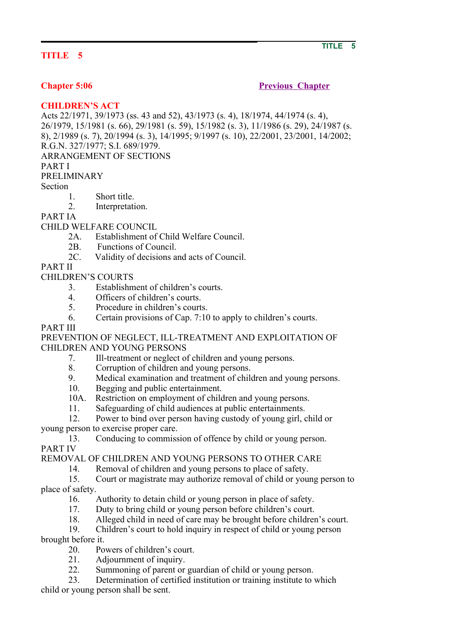# **TITLE 5**

# **Chapter 5:06** Previous Chapter

## **CHILDREN'S ACT**

Acts 22/1971, 39/1973 (ss. 43 and 52), 43/1973 (s. 4), 18/1974, 44/1974 (s. 4), 26/1979, 15/1981 (s. 66), 29/1981 (s. 59), 15/1982 (s. 3), 11/1986 (s. 29), 24/1987 (s. 8), 2/1989 (s. 7), 20/1994 (s. 3), 14/1995; 9/1997 (s. 10), 22/2001, 23/2001, 14/2002; R.G.N. 327/1977; S.I. 689/1979. ARRANGEMENT OF SECTIONS PART I PRELIMINARY

Section

- 1. Short title.
- 2. Interpretation.

PART IA

CHILD WELFARE COUNCIL

- 2A. Establishment of Child Welfare Council.
- 2B. Functions of Council.
- 2C. Validity of decisions and acts of Council.

PART II

CHILDREN'S COURTS

- 3. Establishment of children's courts.
- 4. Officers of children's courts.
- 5. Procedure in children's courts.
- 6. Certain provisions of Cap. 7:10 to apply to children's courts.

## PART III

PREVENTION OF NEGLECT, ILL-TREATMENT AND EXPLOITATION OF CHILDREN AND YOUNG PERSONS

- 7. Ill-treatment or neglect of children and young persons.
- 8. Corruption of children and young persons.
- 9. Medical examination and treatment of children and young persons.
- 10. Begging and public entertainment.
- 10A. Restriction on employment of children and young persons.
- 11. Safeguarding of child audiences at public entertainments.

 12. Power to bind over person having custody of young girl, child or young person to exercise proper care.

 13. Conducing to commission of offence by child or young person. PART IV

REMOVAL OF CHILDREN AND YOUNG PERSONS TO OTHER CARE

14. Removal of children and young persons to place of safety.

 15. Court or magistrate may authorize removal of child or young person to place of safety.

- 16. Authority to detain child or young person in place of safety.
- 17. Duty to bring child or young person before children's court.
- 18. Alleged child in need of care may be brought before children's court.
- 19. Children's court to hold inquiry in respect of child or young person

brought before it.

- 20. Powers of children's court.
- 21. Adjournment of inquiry.
- 22. Summoning of parent or guardian of child or young person.

 23. Determination of certified institution or training institute to which child or young person shall be sent.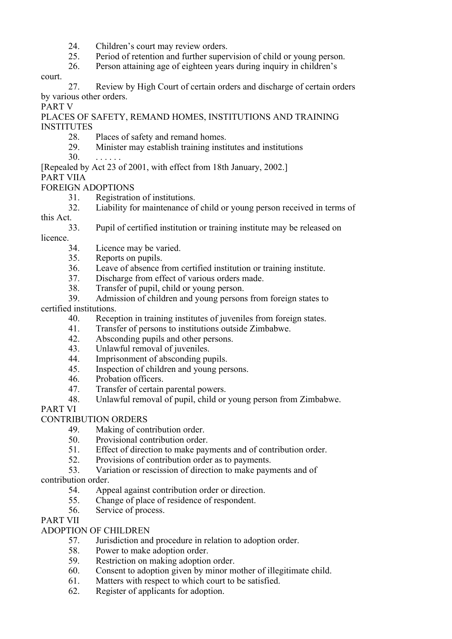- 24. Children's court may review orders.
- 25. Period of retention and further supervision of child or young person.
- 26. Person attaining age of eighteen years during inquiry in children's

court.

 27. Review by High Court of certain orders and discharge of certain orders by various other orders.

PART V

PLACES OF SAFETY, REMAND HOMES, INSTITUTIONS AND TRAINING INSTITUTES

- 28. Places of safety and remand homes.<br>29 Minister may establish training institu
- 29. Minister may establish training institutes and institutions
- $30<sup>1</sup>$
- [Repealed by Act 23 of 2001, with effect from 18th January, 2002.]
- PART VIIA

FOREIGN ADOPTIONS

- 31. Registration of institutions.
- 32. Liability for maintenance of child or young person received in terms of this Act.
- 
- 33. Pupil of certified institution or training institute may be released on licence.
	- 34. Licence may be varied.
	- 35. Reports on pupils.
	- 36. Leave of absence from certified institution or training institute.
	- 37. Discharge from effect of various orders made.
	- 38. Transfer of pupil, child or young person.
- 39. Admission of children and young persons from foreign states to certified institutions.
	- 40. Reception in training institutes of juveniles from foreign states.
	- 41. Transfer of persons to institutions outside Zimbabwe.
	- 42. Absconding pupils and other persons.
	- 43. Unlawful removal of juveniles.
	- 44. Imprisonment of absconding pupils.
	- 45. Inspection of children and young persons.
	- 46. Probation officers.
	- 47. Transfer of certain parental powers.
	- 48. Unlawful removal of pupil, child or young person from Zimbabwe.

# PART VI

# CONTRIBUTION ORDERS

- 49. Making of contribution order.
- 50. Provisional contribution order.
- 51. Effect of direction to make payments and of contribution order.
- 52. Provisions of contribution order as to payments.
- 53. Variation or rescission of direction to make payments and of

# contribution order.

- 54. Appeal against contribution order or direction.
- 55. Change of place of residence of respondent.
- 56. Service of process.

## PART VII

# ADOPTION OF CHILDREN

- 57. Jurisdiction and procedure in relation to adoption order.
- 58. Power to make adoption order.
- 59. Restriction on making adoption order.
- 60. Consent to adoption given by minor mother of illegitimate child.
- 61. Matters with respect to which court to be satisfied.
- 62. Register of applicants for adoption.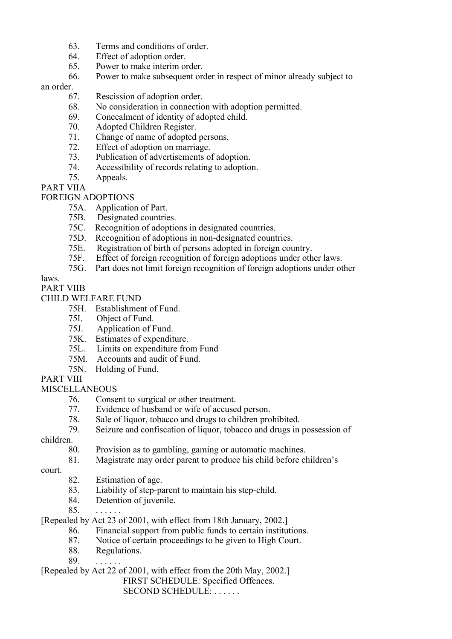- 63. Terms and conditions of order.
- 64. Effect of adoption order.
- 65. Power to make interim order.
- 66. Power to make subsequent order in respect of minor already subject to

### an order.

- 67. Rescission of adoption order.
- 68. No consideration in connection with adoption permitted.
- 69. Concealment of identity of adopted child.
- 70. Adopted Children Register.
- 71. Change of name of adopted persons.
- 72. Effect of adoption on marriage.
- 73. Publication of advertisements of adoption.
- 74. Accessibility of records relating to adoption.
- 75. Appeals.

PART VIIA

FOREIGN ADOPTIONS

- 75A. Application of Part.
- 75B. Designated countries.
- 75C. Recognition of adoptions in designated countries.
- 75D. Recognition of adoptions in non-designated countries.
- 75E. Registration of birth of persons adopted in foreign country.
- 75F. Effect of foreign recognition of foreign adoptions under other laws.
- 75G. Part does not limit foreign recognition of foreign adoptions under other

# laws.

PART VIIB

CHILD WELFARE FUND

## 75H. Establishment of Fund.

- 75I. Object of Fund.
- Application of Fund.
- 75K. Estimates of expenditure.
- 75L. Limits on expenditure from Fund
- 75M. Accounts and audit of Fund.
- 75N. Holding of Fund.

## PART VIII

**MISCELLANEOUS** 

- 76. Consent to surgical or other treatment.
- 77. Evidence of husband or wife of accused person.
- 78. Sale of liquor, tobacco and drugs to children prohibited.
- 79. Seizure and confiscation of liquor, tobacco and drugs in possession of

children.

- 80. Provision as to gambling, gaming or automatic machines.
- 81. Magistrate may order parent to produce his child before children's

court.

- 82. Estimation of age.
- 83. Liability of step-parent to maintain his step-child.
- 84. Detention of juvenile.
- 85.

[Repealed by Act 23 of 2001, with effect from 18th January, 2002.]

- 86. Financial support from public funds to certain institutions.
- 87. Notice of certain proceedings to be given to High Court.
- 88. Regulations.
- 89.

[Repealed by Act 22 of 2001, with effect from the 20th May, 2002.]

FIRST SCHEDULE: Specified Offences.

SECOND SCHEDULE: . . . . . .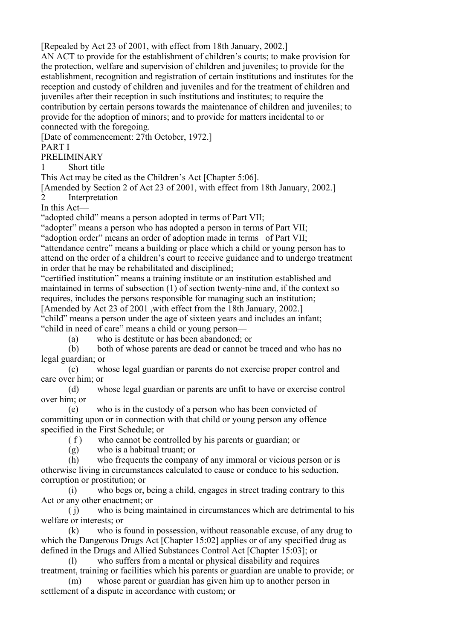[Repealed by Act 23 of 2001, with effect from 18th January, 2002.]

AN ACT to provide for the establishment of children's courts; to make provision for the protection, welfare and supervision of children and juveniles; to provide for the establishment, recognition and registration of certain institutions and institutes for the reception and custody of children and juveniles and for the treatment of children and juveniles after their reception in such institutions and institutes; to require the contribution by certain persons towards the maintenance of children and juveniles; to provide for the adoption of minors; and to provide for matters incidental to or connected with the foregoing.

[Date of commencement: 27th October, 1972.]

PART I

PRELIMINARY

1 Short title

This Act may be cited as the Children's Act [Chapter 5:06].

[Amended by Section 2 of Act 23 of 2001, with effect from 18th January, 2002.]

2 Interpretation

In this Act—

"adopted child" means a person adopted in terms of Part VII;

"adopter" means a person who has adopted a person in terms of Part VII;

"adoption order" means an order of adoption made in terms of Part VII;

"attendance centre" means a building or place which a child or young person has to attend on the order of a children's court to receive guidance and to undergo treatment in order that he may be rehabilitated and disciplined;

"certified institution" means a training institute or an institution established and maintained in terms of subsection (1) of section twenty-nine and, if the context so requires, includes the persons responsible for managing such an institution;

[Amended by Act 23 of 2001 ,with effect from the 18th January, 2002.]

"child" means a person under the age of sixteen years and includes an infant; "child in need of care" means a child or young person—

(a) who is destitute or has been abandoned; or

 (b) both of whose parents are dead or cannot be traced and who has no legal guardian; or

 (c) whose legal guardian or parents do not exercise proper control and care over him; or

 (d) whose legal guardian or parents are unfit to have or exercise control over him; or

 (e) who is in the custody of a person who has been convicted of committing upon or in connection with that child or young person any offence specified in the First Schedule; or

( f ) who cannot be controlled by his parents or guardian; or

(g) who is a habitual truant; or

 (h) who frequents the company of any immoral or vicious person or is otherwise living in circumstances calculated to cause or conduce to his seduction, corruption or prostitution; or

 (i) who begs or, being a child, engages in street trading contrary to this Act or any other enactment; or

 ( j) who is being maintained in circumstances which are detrimental to his welfare or interests; or

 (k) who is found in possession, without reasonable excuse, of any drug to which the Dangerous Drugs Act [Chapter 15:02] applies or of any specified drug as defined in the Drugs and Allied Substances Control Act [Chapter 15:03]; or

 (l) who suffers from a mental or physical disability and requires treatment, training or facilities which his parents or guardian are unable to provide; or

 (m) whose parent or guardian has given him up to another person in settlement of a dispute in accordance with custom; or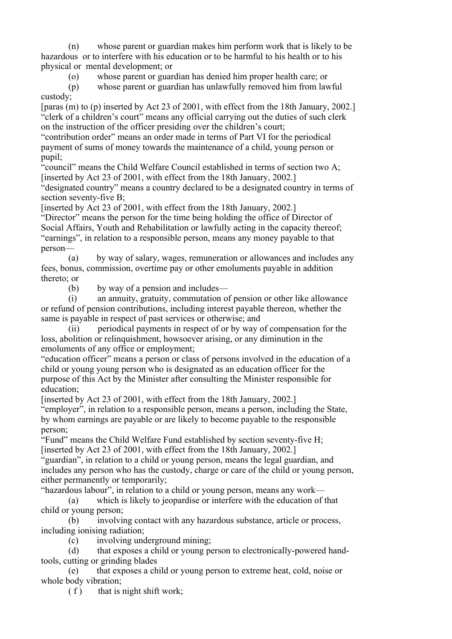(n) whose parent or guardian makes him perform work that is likely to be hazardous or to interfere with his education or to be harmful to his health or to his physical or mental development; or

(o) whose parent or guardian has denied him proper health care; or

 (p) whose parent or guardian has unlawfully removed him from lawful custody;

[paras (m) to (p) inserted by Act 23 of 2001, with effect from the 18th January, 2002.] "clerk of a children's court" means any official carrying out the duties of such clerk on the instruction of the officer presiding over the children's court;

"contribution order" means an order made in terms of Part VI for the periodical payment of sums of money towards the maintenance of a child, young person or pupil;

"council" means the Child Welfare Council established in terms of section two A; [inserted by Act 23 of 2001, with effect from the 18th January, 2002.]

"designated country" means a country declared to be a designated country in terms of section seventy-five B;

[inserted by Act 23 of 2001, with effect from the 18th January, 2002.]

"Director" means the person for the time being holding the office of Director of Social Affairs, Youth and Rehabilitation or lawfully acting in the capacity thereof; "earnings", in relation to a responsible person, means any money payable to that person—

 (a) by way of salary, wages, remuneration or allowances and includes any fees, bonus, commission, overtime pay or other emoluments payable in addition thereto; or

(b) by way of a pension and includes—

 (i) an annuity, gratuity, commutation of pension or other like allowance or refund of pension contributions, including interest payable thereon, whether the same is payable in respect of past services or otherwise; and

 (ii) periodical payments in respect of or by way of compensation for the loss, abolition or relinquishment, howsoever arising, or any diminution in the emoluments of any office or employment;

"education officer" means a person or class of persons involved in the education of a child or young young person who is designated as an education officer for the purpose of this Act by the Minister after consulting the Minister responsible for education;

[inserted by Act 23 of 2001, with effect from the 18th January, 2002.]

"employer", in relation to a responsible person, means a person, including the State, by whom earnings are payable or are likely to become payable to the responsible person;

"Fund" means the Child Welfare Fund established by section seventy-five H; [inserted by Act 23 of 2001, with effect from the 18th January, 2002.]

"guardian", in relation to a child or young person, means the legal guardian, and includes any person who has the custody, charge or care of the child or young person, either permanently or temporarily;

"hazardous labour", in relation to a child or young person, means any work—

 (a) which is likely to jeopardise or interfere with the education of that child or young person;

 (b) involving contact with any hazardous substance, article or process, including ionising radiation;

(c) involving underground mining;

 (d) that exposes a child or young person to electronically-powered handtools, cutting or grinding blades

 (e) that exposes a child or young person to extreme heat, cold, noise or whole body vibration;

 $(f)$  that is night shift work;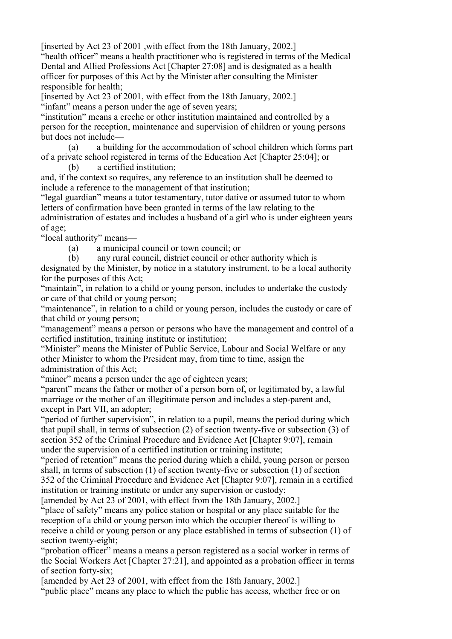[inserted by Act 23 of 2001 ,with effect from the 18th January, 2002.]

"health officer" means a health practitioner who is registered in terms of the Medical Dental and Allied Professions Act [Chapter 27:08] and is designated as a health officer for purposes of this Act by the Minister after consulting the Minister responsible for health;

[inserted by Act 23 of 2001, with effect from the 18th January, 2002.]

"infant" means a person under the age of seven years;

"institution" means a creche or other institution maintained and controlled by a person for the reception, maintenance and supervision of children or young persons but does not include—

 (a) a building for the accommodation of school children which forms part of a private school registered in terms of the Education Act [Chapter 25:04]; or

(b) a certified institution;

and, if the context so requires, any reference to an institution shall be deemed to include a reference to the management of that institution;

"legal guardian" means a tutor testamentary, tutor dative or assumed tutor to whom letters of confirmation have been granted in terms of the law relating to the administration of estates and includes a husband of a girl who is under eighteen years of age;

"local authority" means—

(a) a municipal council or town council; or

 (b) any rural council, district council or other authority which is designated by the Minister, by notice in a statutory instrument, to be a local authority for the purposes of this Act;

"maintain", in relation to a child or young person, includes to undertake the custody or care of that child or young person;

"maintenance", in relation to a child or young person, includes the custody or care of that child or young person;

"management" means a person or persons who have the management and control of a certified institution, training institute or institution;

"Minister" means the Minister of Public Service, Labour and Social Welfare or any other Minister to whom the President may, from time to time, assign the administration of this Act;

"minor" means a person under the age of eighteen years;

"parent" means the father or mother of a person born of, or legitimated by, a lawful marriage or the mother of an illegitimate person and includes a step-parent and, except in Part VII, an adopter;

"period of further supervision", in relation to a pupil, means the period during which that pupil shall, in terms of subsection (2) of section twenty-five or subsection (3) of section 352 of the Criminal Procedure and Evidence Act [Chapter 9:07], remain under the supervision of a certified institution or training institute;

"period of retention" means the period during which a child, young person or person shall, in terms of subsection (1) of section twenty-five or subsection (1) of section 352 of the Criminal Procedure and Evidence Act [Chapter 9:07], remain in a certified institution or training institute or under any supervision or custody;

[amended by Act 23 of 2001, with effect from the 18th January, 2002.] "place of safety" means any police station or hospital or any place suitable for the reception of a child or young person into which the occupier thereof is willing to receive a child or young person or any place established in terms of subsection (1) of section twenty-eight;

"probation officer" means a means a person registered as a social worker in terms of the Social Workers Act [Chapter 27:21], and appointed as a probation officer in terms of section forty-six;

[amended by Act 23 of 2001, with effect from the 18th January, 2002.]

"public place" means any place to which the public has access, whether free or on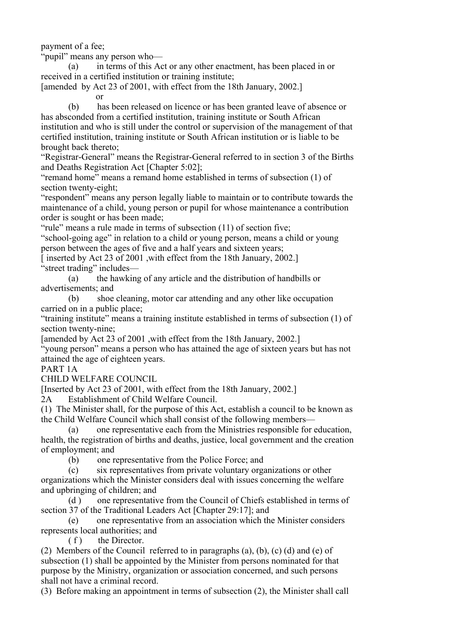payment of a fee;

"pupil" means any person who—

 (a) in terms of this Act or any other enactment, has been placed in or received in a certified institution or training institute;

[amended by Act 23 of 2001, with effect from the 18th January, 2002.]

or

 (b) has been released on licence or has been granted leave of absence or has absconded from a certified institution, training institute or South African institution and who is still under the control or supervision of the management of that certified institution, training institute or South African institution or is liable to be brought back thereto;

"Registrar-General" means the Registrar-General referred to in section 3 of the Births and Deaths Registration Act [Chapter 5:02];

"remand home" means a remand home established in terms of subsection (1) of section twenty-eight;

"respondent" means any person legally liable to maintain or to contribute towards the maintenance of a child, young person or pupil for whose maintenance a contribution order is sought or has been made;

"rule" means a rule made in terms of subsection (11) of section five;

"school-going age" in relation to a child or young person, means a child or young person between the ages of five and a half years and sixteen years;

[ inserted by Act 23 of 2001 , with effect from the 18th January, 2002.] "street trading" includes—

 (a) the hawking of any article and the distribution of handbills or advertisements; and

 (b) shoe cleaning, motor car attending and any other like occupation carried on in a public place;

"training institute" means a training institute established in terms of subsection (1) of section twenty-nine;

[amended by Act 23 of 2001 ,with effect from the 18th January, 2002.]

"young person" means a person who has attained the age of sixteen years but has not attained the age of eighteen years.

# PART 1A

CHILD WELFARE COUNCIL

[Inserted by Act 23 of 2001, with effect from the 18th January, 2002.]

2A Establishment of Child Welfare Council.

(1) The Minister shall, for the purpose of this Act, establish a council to be known as the Child Welfare Council which shall consist of the following members—

 (a) one representative each from the Ministries responsible for education, health, the registration of births and deaths, justice, local government and the creation of employment; and

(b) one representative from the Police Force; and

 (c) six representatives from private voluntary organizations or other organizations which the Minister considers deal with issues concerning the welfare and upbringing of children; and

 (d ) one representative from the Council of Chiefs established in terms of section 37 of the Traditional Leaders Act [Chapter 29:17]; and

 (e) one representative from an association which the Minister considers represents local authorities; and

 $(f)$  the Director.

(2) Members of the Council referred to in paragraphs (a), (b), (c) (d) and (e) of subsection (1) shall be appointed by the Minister from persons nominated for that purpose by the Ministry, organization or association concerned, and such persons shall not have a criminal record.

(3) Before making an appointment in terms of subsection (2), the Minister shall call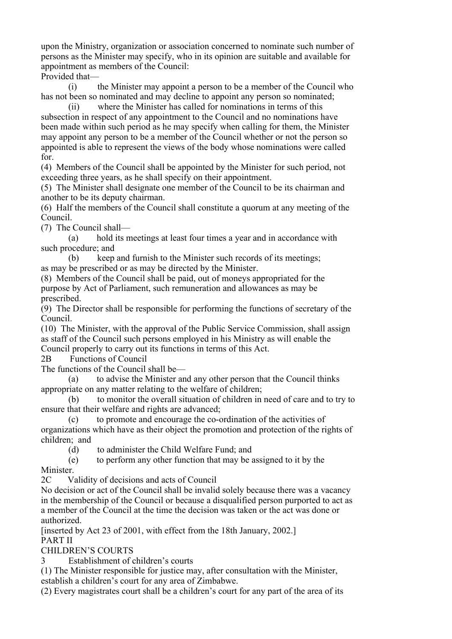upon the Ministry, organization or association concerned to nominate such number of persons as the Minister may specify, who in its opinion are suitable and available for appointment as members of the Council:

Provided that—

 (i) the Minister may appoint a person to be a member of the Council who has not been so nominated and may decline to appoint any person so nominated;

 (ii) where the Minister has called for nominations in terms of this subsection in respect of any appointment to the Council and no nominations have been made within such period as he may specify when calling for them, the Minister may appoint any person to be a member of the Council whether or not the person so appointed is able to represent the views of the body whose nominations were called for.

(4) Members of the Council shall be appointed by the Minister for such period, not exceeding three years, as he shall specify on their appointment.

(5) The Minister shall designate one member of the Council to be its chairman and another to be its deputy chairman.

(6) Half the members of the Council shall constitute a quorum at any meeting of the Council.

(7) The Council shall—

 (a) hold its meetings at least four times a year and in accordance with such procedure; and

 (b) keep and furnish to the Minister such records of its meetings; as may be prescribed or as may be directed by the Minister.

(8) Members of the Council shall be paid, out of moneys appropriated for the purpose by Act of Parliament, such remuneration and allowances as may be prescribed.

(9) The Director shall be responsible for performing the functions of secretary of the Council.

(10) The Minister, with the approval of the Public Service Commission, shall assign as staff of the Council such persons employed in his Ministry as will enable the Council properly to carry out its functions in terms of this Act.

2B Functions of Council

The functions of the Council shall be—

 (a) to advise the Minister and any other person that the Council thinks appropriate on any matter relating to the welfare of children;

 (b) to monitor the overall situation of children in need of care and to try to ensure that their welfare and rights are advanced;

 (c) to promote and encourage the co-ordination of the activities of organizations which have as their object the promotion and protection of the rights of children; and

(d) to administer the Child Welfare Fund; and

 (e) to perform any other function that may be assigned to it by the Minister.

2C Validity of decisions and acts of Council

No decision or act of the Council shall be invalid solely because there was a vacancy in the membership of the Council or because a disqualified person purported to act as a member of the Council at the time the decision was taken or the act was done or authorized.

[inserted by Act 23 of 2001, with effect from the 18th January, 2002.] PART II

CHILDREN'S COURTS

3 Establishment of children's courts

(1) The Minister responsible for justice may, after consultation with the Minister, establish a children's court for any area of Zimbabwe.

(2) Every magistrates court shall be a children's court for any part of the area of its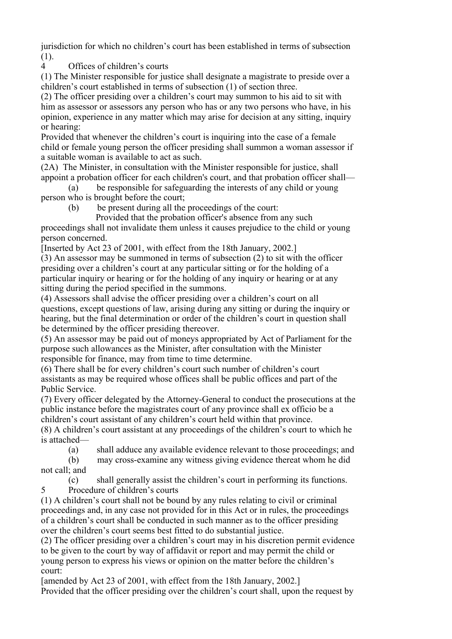jurisdiction for which no children's court has been established in terms of subsection (1).

4 Offices of children's courts

(1) The Minister responsible for justice shall designate a magistrate to preside over a children's court established in terms of subsection (1) of section three.

(2) The officer presiding over a children's court may summon to his aid to sit with him as assessor or assessors any person who has or any two persons who have, in his opinion, experience in any matter which may arise for decision at any sitting, inquiry or hearing:

Provided that whenever the children's court is inquiring into the case of a female child or female young person the officer presiding shall summon a woman assessor if a suitable woman is available to act as such.

(2A) The Minister, in consultation with the Minister responsible for justice, shall appoint a probation officer for each children's court, and that probation officer shall—

 (a) be responsible for safeguarding the interests of any child or young person who is brought before the court;

- (b) be present during all the proceedings of the court:
	- Provided that the probation officer's absence from any such

proceedings shall not invalidate them unless it causes prejudice to the child or young person concerned.

[Inserted by Act 23 of 2001, with effect from the 18th January, 2002.]

(3) An assessor may be summoned in terms of subsection (2) to sit with the officer presiding over a children's court at any particular sitting or for the holding of a particular inquiry or hearing or for the holding of any inquiry or hearing or at any sitting during the period specified in the summons.

(4) Assessors shall advise the officer presiding over a children's court on all questions, except questions of law, arising during any sitting or during the inquiry or hearing, but the final determination or order of the children's court in question shall be determined by the officer presiding thereover.

(5) An assessor may be paid out of moneys appropriated by Act of Parliament for the purpose such allowances as the Minister, after consultation with the Minister responsible for finance, may from time to time determine.

(6) There shall be for every children's court such number of children's court assistants as may be required whose offices shall be public offices and part of the Public Service.

(7) Every officer delegated by the Attorney-General to conduct the prosecutions at the public instance before the magistrates court of any province shall ex officio be a children's court assistant of any children's court held within that province.

(8) A children's court assistant at any proceedings of the children's court to which he is attached—

(a) shall adduce any available evidence relevant to those proceedings; and

 (b) may cross-examine any witness giving evidence thereat whom he did not call; and

 (c) shall generally assist the children's court in performing its functions. 5 Procedure of children's courts

(1) A children's court shall not be bound by any rules relating to civil or criminal proceedings and, in any case not provided for in this Act or in rules, the proceedings of a children's court shall be conducted in such manner as to the officer presiding over the children's court seems best fitted to do substantial justice.

(2) The officer presiding over a children's court may in his discretion permit evidence to be given to the court by way of affidavit or report and may permit the child or young person to express his views or opinion on the matter before the children's court:

[amended by Act 23 of 2001, with effect from the 18th January, 2002.] Provided that the officer presiding over the children's court shall, upon the request by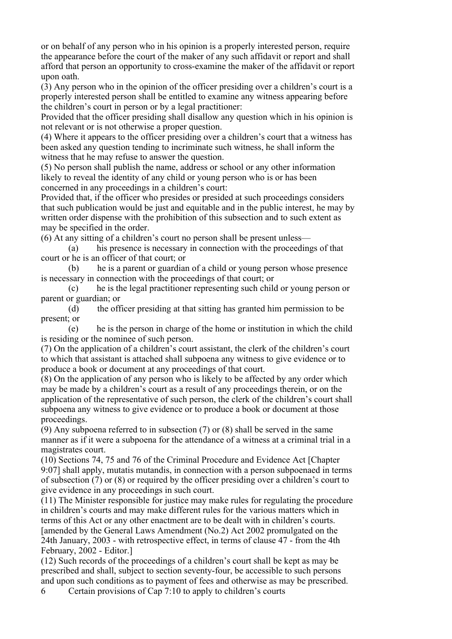or on behalf of any person who in his opinion is a properly interested person, require the appearance before the court of the maker of any such affidavit or report and shall afford that person an opportunity to cross-examine the maker of the affidavit or report upon oath.

(3) Any person who in the opinion of the officer presiding over a children's court is a properly interested person shall be entitled to examine any witness appearing before the children's court in person or by a legal practitioner:

Provided that the officer presiding shall disallow any question which in his opinion is not relevant or is not otherwise a proper question.

(4) Where it appears to the officer presiding over a children's court that a witness has been asked any question tending to incriminate such witness, he shall inform the witness that he may refuse to answer the question.

(5) No person shall publish the name, address or school or any other information likely to reveal the identity of any child or young person who is or has been concerned in any proceedings in a children's court:

Provided that, if the officer who presides or presided at such proceedings considers that such publication would be just and equitable and in the public interest, he may by written order dispense with the prohibition of this subsection and to such extent as may be specified in the order.

(6) At any sitting of a children's court no person shall be present unless—

 (a) his presence is necessary in connection with the proceedings of that court or he is an officer of that court; or

 (b) he is a parent or guardian of a child or young person whose presence is necessary in connection with the proceedings of that court; or

 (c) he is the legal practitioner representing such child or young person or parent or guardian; or

 (d) the officer presiding at that sitting has granted him permission to be present; or

 (e) he is the person in charge of the home or institution in which the child is residing or the nominee of such person.

(7) On the application of a children's court assistant, the clerk of the children's court to which that assistant is attached shall subpoena any witness to give evidence or to produce a book or document at any proceedings of that court.

(8) On the application of any person who is likely to be affected by any order which may be made by a children's court as a result of any proceedings therein, or on the application of the representative of such person, the clerk of the children's court shall subpoena any witness to give evidence or to produce a book or document at those proceedings.

 $(9)$  Any subpoena referred to in subsection  $(7)$  or  $(8)$  shall be served in the same manner as if it were a subpoena for the attendance of a witness at a criminal trial in a magistrates court.

(10) Sections 74, 75 and 76 of the Criminal Procedure and Evidence Act [Chapter 9:07] shall apply, mutatis mutandis, in connection with a person subpoenaed in terms of subsection (7) or (8) or required by the officer presiding over a children's court to give evidence in any proceedings in such court.

(11) The Minister responsible for justice may make rules for regulating the procedure in children's courts and may make different rules for the various matters which in terms of this Act or any other enactment are to be dealt with in children's courts. [amended by the General Laws Amendment (No.2) Act 2002 promulgated on the 24th January, 2003 - with retrospective effect, in terms of clause 47 - from the 4th February, 2002 - Editor.]

(12) Such records of the proceedings of a children's court shall be kept as may be prescribed and shall, subject to section seventy-four, be accessible to such persons and upon such conditions as to payment of fees and otherwise as may be prescribed.

6 Certain provisions of Cap 7:10 to apply to children's courts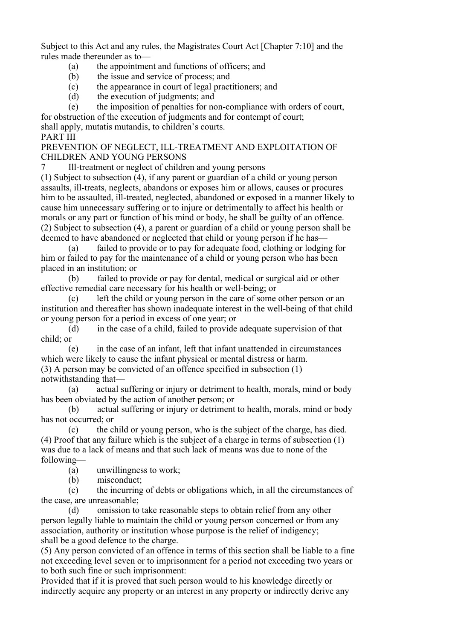Subject to this Act and any rules, the Magistrates Court Act [Chapter 7:10] and the rules made thereunder as to—

- (a) the appointment and functions of officers; and
- (b) the issue and service of process; and
- (c) the appearance in court of legal practitioners; and
- (d) the execution of judgments; and
- (e) the imposition of penalties for non-compliance with orders of court,

for obstruction of the execution of judgments and for contempt of court;

shall apply, mutatis mutandis, to children's courts.

# PART III

PREVENTION OF NEGLECT, ILL-TREATMENT AND EXPLOITATION OF CHILDREN AND YOUNG PERSONS

7 Ill-treatment or neglect of children and young persons

(1) Subject to subsection (4), if any parent or guardian of a child or young person assaults, ill-treats, neglects, abandons or exposes him or allows, causes or procures him to be assaulted, ill-treated, neglected, abandoned or exposed in a manner likely to cause him unnecessary suffering or to injure or detrimentally to affect his health or morals or any part or function of his mind or body, he shall be guilty of an offence. (2) Subject to subsection (4), a parent or guardian of a child or young person shall be deemed to have abandoned or neglected that child or young person if he has—

 (a) failed to provide or to pay for adequate food, clothing or lodging for him or failed to pay for the maintenance of a child or young person who has been placed in an institution; or

 (b) failed to provide or pay for dental, medical or surgical aid or other effective remedial care necessary for his health or well-being; or

 (c) left the child or young person in the care of some other person or an institution and thereafter has shown inadequate interest in the well-being of that child or young person for a period in excess of one year; or

 (d) in the case of a child, failed to provide adequate supervision of that child; or

 (e) in the case of an infant, left that infant unattended in circumstances which were likely to cause the infant physical or mental distress or harm.

(3) A person may be convicted of an offence specified in subsection (1) notwithstanding that—

 (a) actual suffering or injury or detriment to health, morals, mind or body has been obviated by the action of another person; or

 (b) actual suffering or injury or detriment to health, morals, mind or body has not occurred; or

 (c) the child or young person, who is the subject of the charge, has died. (4) Proof that any failure which is the subject of a charge in terms of subsection (1) was due to a lack of means and that such lack of means was due to none of the following—

(a) unwillingness to work;

(b) misconduct;

 (c) the incurring of debts or obligations which, in all the circumstances of the case, are unreasonable;

 (d) omission to take reasonable steps to obtain relief from any other person legally liable to maintain the child or young person concerned or from any association, authority or institution whose purpose is the relief of indigency; shall be a good defence to the charge.

(5) Any person convicted of an offence in terms of this section shall be liable to a fine not exceeding level seven or to imprisonment for a period not exceeding two years or to both such fine or such imprisonment:

Provided that if it is proved that such person would to his knowledge directly or indirectly acquire any property or an interest in any property or indirectly derive any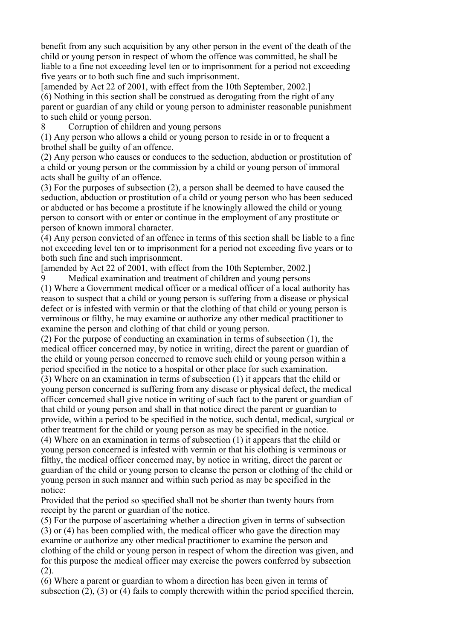benefit from any such acquisition by any other person in the event of the death of the child or young person in respect of whom the offence was committed, he shall be liable to a fine not exceeding level ten or to imprisonment for a period not exceeding five years or to both such fine and such imprisonment.

[amended by Act 22 of 2001, with effect from the 10th September, 2002.] (6) Nothing in this section shall be construed as derogating from the right of any parent or guardian of any child or young person to administer reasonable punishment to such child or young person.

8 Corruption of children and young persons

(1) Any person who allows a child or young person to reside in or to frequent a brothel shall be guilty of an offence.

(2) Any person who causes or conduces to the seduction, abduction or prostitution of a child or young person or the commission by a child or young person of immoral acts shall be guilty of an offence.

(3) For the purposes of subsection (2), a person shall be deemed to have caused the seduction, abduction or prostitution of a child or young person who has been seduced or abducted or has become a prostitute if he knowingly allowed the child or young person to consort with or enter or continue in the employment of any prostitute or person of known immoral character.

(4) Any person convicted of an offence in terms of this section shall be liable to a fine not exceeding level ten or to imprisonment for a period not exceeding five years or to both such fine and such imprisonment.

[amended by Act 22 of 2001, with effect from the 10th September, 2002.]

9 Medical examination and treatment of children and young persons (1) Where a Government medical officer or a medical officer of a local authority has reason to suspect that a child or young person is suffering from a disease or physical defect or is infested with vermin or that the clothing of that child or young person is verminous or filthy, he may examine or authorize any other medical practitioner to

examine the person and clothing of that child or young person. (2) For the purpose of conducting an examination in terms of subsection (1), the medical officer concerned may, by notice in writing, direct the parent or guardian of

the child or young person concerned to remove such child or young person within a period specified in the notice to a hospital or other place for such examination.

(3) Where on an examination in terms of subsection (1) it appears that the child or young person concerned is suffering from any disease or physical defect, the medical officer concerned shall give notice in writing of such fact to the parent or guardian of that child or young person and shall in that notice direct the parent or guardian to provide, within a period to be specified in the notice, such dental, medical, surgical or other treatment for the child or young person as may be specified in the notice.

(4) Where on an examination in terms of subsection (1) it appears that the child or young person concerned is infested with vermin or that his clothing is verminous or filthy, the medical officer concerned may, by notice in writing, direct the parent or guardian of the child or young person to cleanse the person or clothing of the child or young person in such manner and within such period as may be specified in the notice:

Provided that the period so specified shall not be shorter than twenty hours from receipt by the parent or guardian of the notice.

(5) For the purpose of ascertaining whether a direction given in terms of subsection (3) or (4) has been complied with, the medical officer who gave the direction may examine or authorize any other medical practitioner to examine the person and clothing of the child or young person in respect of whom the direction was given, and for this purpose the medical officer may exercise the powers conferred by subsection  $(2)$ .

(6) Where a parent or guardian to whom a direction has been given in terms of subsection (2), (3) or (4) fails to comply therewith within the period specified therein,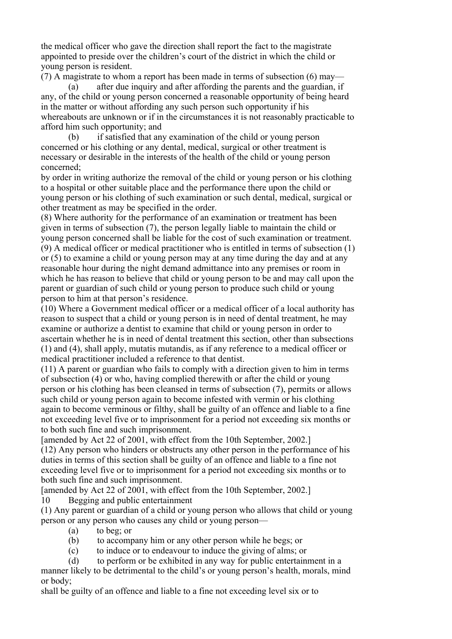the medical officer who gave the direction shall report the fact to the magistrate appointed to preside over the children's court of the district in which the child or young person is resident.

(7) A magistrate to whom a report has been made in terms of subsection (6) may—

 (a) after due inquiry and after affording the parents and the guardian, if any, of the child or young person concerned a reasonable opportunity of being heard in the matter or without affording any such person such opportunity if his whereabouts are unknown or if in the circumstances it is not reasonably practicable to afford him such opportunity; and

 (b) if satisfied that any examination of the child or young person concerned or his clothing or any dental, medical, surgical or other treatment is necessary or desirable in the interests of the health of the child or young person concerned;

by order in writing authorize the removal of the child or young person or his clothing to a hospital or other suitable place and the performance there upon the child or young person or his clothing of such examination or such dental, medical, surgical or other treatment as may be specified in the order.

(8) Where authority for the performance of an examination or treatment has been given in terms of subsection (7), the person legally liable to maintain the child or young person concerned shall be liable for the cost of such examination or treatment. (9) A medical officer or medical practitioner who is entitled in terms of subsection (1) or (5) to examine a child or young person may at any time during the day and at any reasonable hour during the night demand admittance into any premises or room in which he has reason to believe that child or young person to be and may call upon the parent or guardian of such child or young person to produce such child or young person to him at that person's residence.

(10) Where a Government medical officer or a medical officer of a local authority has reason to suspect that a child or young person is in need of dental treatment, he may examine or authorize a dentist to examine that child or young person in order to ascertain whether he is in need of dental treatment this section, other than subsections (1) and (4), shall apply, mutatis mutandis, as if any reference to a medical officer or medical practitioner included a reference to that dentist.

(11) A parent or guardian who fails to comply with a direction given to him in terms of subsection (4) or who, having complied therewith or after the child or young person or his clothing has been cleansed in terms of subsection (7), permits or allows such child or young person again to become infested with vermin or his clothing again to become verminous or filthy, shall be guilty of an offence and liable to a fine not exceeding level five or to imprisonment for a period not exceeding six months or to both such fine and such imprisonment.

[amended by Act 22 of 2001, with effect from the 10th September, 2002.] (12) Any person who hinders or obstructs any other person in the performance of his duties in terms of this section shall be guilty of an offence and liable to a fine not exceeding level five or to imprisonment for a period not exceeding six months or to both such fine and such imprisonment.

[amended by Act 22 of 2001, with effect from the 10th September, 2002.] 10 Begging and public entertainment

(1) Any parent or guardian of a child or young person who allows that child or young person or any person who causes any child or young person—

(a) to beg; or

- (b) to accompany him or any other person while he begs; or
- (c) to induce or to endeavour to induce the giving of alms; or
- (d) to perform or be exhibited in any way for public entertainment in a

manner likely to be detrimental to the child's or young person's health, morals, mind or body;

shall be guilty of an offence and liable to a fine not exceeding level six or to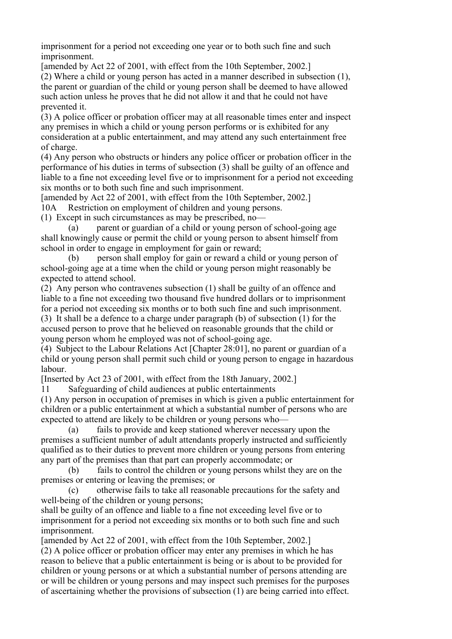imprisonment for a period not exceeding one year or to both such fine and such imprisonment.

[amended by Act 22 of 2001, with effect from the 10th September, 2002.]

(2) Where a child or young person has acted in a manner described in subsection (1), the parent or guardian of the child or young person shall be deemed to have allowed such action unless he proves that he did not allow it and that he could not have prevented it.

(3) A police officer or probation officer may at all reasonable times enter and inspect any premises in which a child or young person performs or is exhibited for any consideration at a public entertainment, and may attend any such entertainment free of charge.

(4) Any person who obstructs or hinders any police officer or probation officer in the performance of his duties in terms of subsection (3) shall be guilty of an offence and liable to a fine not exceeding level five or to imprisonment for a period not exceeding six months or to both such fine and such imprisonment.

[amended by Act 22 of 2001, with effect from the 10th September, 2002.]

10A Restriction on employment of children and young persons.

(1) Except in such circumstances as may be prescribed, no—

 (a) parent or guardian of a child or young person of school-going age shall knowingly cause or permit the child or young person to absent himself from school in order to engage in employment for gain or reward;

 (b) person shall employ for gain or reward a child or young person of school-going age at a time when the child or young person might reasonably be expected to attend school.

(2) Any person who contravenes subsection (1) shall be guilty of an offence and liable to a fine not exceeding two thousand five hundred dollars or to imprisonment for a period not exceeding six months or to both such fine and such imprisonment.

(3) It shall be a defence to a charge under paragraph (b) of subsection (1) for the accused person to prove that he believed on reasonable grounds that the child or young person whom he employed was not of school-going age.

(4) Subject to the Labour Relations Act [Chapter 28:01], no parent or guardian of a child or young person shall permit such child or young person to engage in hazardous labour.

[Inserted by Act 23 of 2001, with effect from the 18th January, 2002.]

11 Safeguarding of child audiences at public entertainments

(1) Any person in occupation of premises in which is given a public entertainment for children or a public entertainment at which a substantial number of persons who are expected to attend are likely to be children or young persons who—

 (a) fails to provide and keep stationed wherever necessary upon the premises a sufficient number of adult attendants properly instructed and sufficiently qualified as to their duties to prevent more children or young persons from entering any part of the premises than that part can properly accommodate; or

 (b) fails to control the children or young persons whilst they are on the premises or entering or leaving the premises; or

 (c) otherwise fails to take all reasonable precautions for the safety and well-being of the children or young persons;

shall be guilty of an offence and liable to a fine not exceeding level five or to imprisonment for a period not exceeding six months or to both such fine and such imprisonment.

[amended by Act 22 of 2001, with effect from the 10th September, 2002.] (2) A police officer or probation officer may enter any premises in which he has reason to believe that a public entertainment is being or is about to be provided for children or young persons or at which a substantial number of persons attending are or will be children or young persons and may inspect such premises for the purposes of ascertaining whether the provisions of subsection (1) are being carried into effect.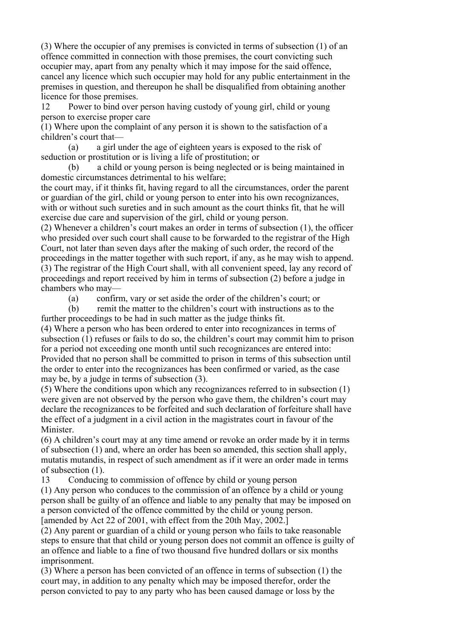(3) Where the occupier of any premises is convicted in terms of subsection (1) of an offence committed in connection with those premises, the court convicting such occupier may, apart from any penalty which it may impose for the said offence, cancel any licence which such occupier may hold for any public entertainment in the premises in question, and thereupon he shall be disqualified from obtaining another licence for those premises.

12 Power to bind over person having custody of young girl, child or young person to exercise proper care

(1) Where upon the complaint of any person it is shown to the satisfaction of a children's court that—

 (a) a girl under the age of eighteen years is exposed to the risk of seduction or prostitution or is living a life of prostitution; or

 (b) a child or young person is being neglected or is being maintained in domestic circumstances detrimental to his welfare;

the court may, if it thinks fit, having regard to all the circumstances, order the parent or guardian of the girl, child or young person to enter into his own recognizances, with or without such sureties and in such amount as the court thinks fit, that he will exercise due care and supervision of the girl, child or young person.

(2) Whenever a children's court makes an order in terms of subsection (1), the officer who presided over such court shall cause to be forwarded to the registrar of the High Court, not later than seven days after the making of such order, the record of the proceedings in the matter together with such report, if any, as he may wish to append. (3) The registrar of the High Court shall, with all convenient speed, lay any record of proceedings and report received by him in terms of subsection (2) before a judge in chambers who may—

(a) confirm, vary or set aside the order of the children's court; or

 (b) remit the matter to the children's court with instructions as to the further proceedings to be had in such matter as the judge thinks fit.

(4) Where a person who has been ordered to enter into recognizances in terms of subsection (1) refuses or fails to do so, the children's court may commit him to prison for a period not exceeding one month until such recognizances are entered into: Provided that no person shall be committed to prison in terms of this subsection until the order to enter into the recognizances has been confirmed or varied, as the case may be, by a judge in terms of subsection (3).

(5) Where the conditions upon which any recognizances referred to in subsection (1) were given are not observed by the person who gave them, the children's court may declare the recognizances to be forfeited and such declaration of forfeiture shall have the effect of a judgment in a civil action in the magistrates court in favour of the Minister.

(6) A children's court may at any time amend or revoke an order made by it in terms of subsection (1) and, where an order has been so amended, this section shall apply, mutatis mutandis, in respect of such amendment as if it were an order made in terms of subsection (1).

13 Conducing to commission of offence by child or young person

(1) Any person who conduces to the commission of an offence by a child or young person shall be guilty of an offence and liable to any penalty that may be imposed on a person convicted of the offence committed by the child or young person. [amended by Act 22 of 2001, with effect from the 20th May, 2002.]

(2) Any parent or guardian of a child or young person who fails to take reasonable

steps to ensure that that child or young person does not commit an offence is guilty of an offence and liable to a fine of two thousand five hundred dollars or six months imprisonment.

(3) Where a person has been convicted of an offence in terms of subsection (1) the court may, in addition to any penalty which may be imposed therefor, order the person convicted to pay to any party who has been caused damage or loss by the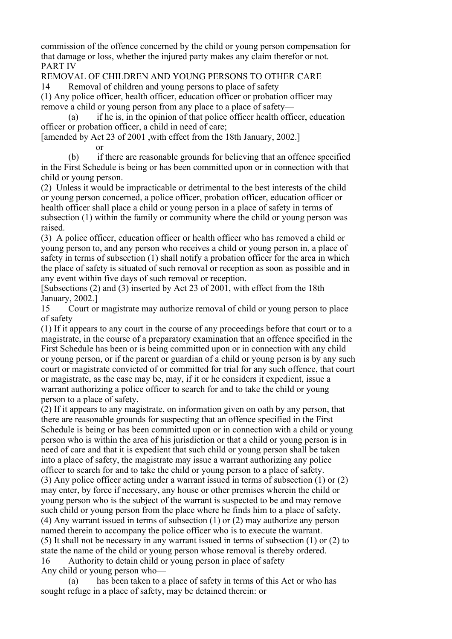commission of the offence concerned by the child or young person compensation for that damage or loss, whether the injured party makes any claim therefor or not. PART IV

REMOVAL OF CHILDREN AND YOUNG PERSONS TO OTHER CARE

14 Removal of children and young persons to place of safety

(1) Any police officer, health officer, education officer or probation officer may remove a child or young person from any place to a place of safety—

 (a) if he is, in the opinion of that police officer health officer, education officer or probation officer, a child in need of care;

[amended by Act 23 of 2001 ,with effect from the 18th January, 2002.]

or

 (b) if there are reasonable grounds for believing that an offence specified in the First Schedule is being or has been committed upon or in connection with that child or young person.

(2) Unless it would be impracticable or detrimental to the best interests of the child or young person concerned, a police officer, probation officer, education officer or health officer shall place a child or young person in a place of safety in terms of subsection (1) within the family or community where the child or young person was raised.

(3) A police officer, education officer or health officer who has removed a child or young person to, and any person who receives a child or young person in, a place of safety in terms of subsection (1) shall notify a probation officer for the area in which the place of safety is situated of such removal or reception as soon as possible and in any event within five days of such removal or reception.

[Subsections (2) and (3) inserted by Act 23 of 2001, with effect from the 18th January, 2002.]

15 Court or magistrate may authorize removal of child or young person to place of safety

(1) If it appears to any court in the course of any proceedings before that court or to a magistrate, in the course of a preparatory examination that an offence specified in the First Schedule has been or is being committed upon or in connection with any child or young person, or if the parent or guardian of a child or young person is by any such court or magistrate convicted of or committed for trial for any such offence, that court or magistrate, as the case may be, may, if it or he considers it expedient, issue a warrant authorizing a police officer to search for and to take the child or young person to a place of safety.

(2) If it appears to any magistrate, on information given on oath by any person, that there are reasonable grounds for suspecting that an offence specified in the First Schedule is being or has been committed upon or in connection with a child or young person who is within the area of his jurisdiction or that a child or young person is in need of care and that it is expedient that such child or young person shall be taken into a place of safety, the magistrate may issue a warrant authorizing any police officer to search for and to take the child or young person to a place of safety. (3) Any police officer acting under a warrant issued in terms of subsection (1) or (2) may enter, by force if necessary, any house or other premises wherein the child or young person who is the subject of the warrant is suspected to be and may remove such child or young person from the place where he finds him to a place of safety. (4) Any warrant issued in terms of subsection (1) or (2) may authorize any person named therein to accompany the police officer who is to execute the warrant. (5) It shall not be necessary in any warrant issued in terms of subsection (1) or (2) to state the name of the child or young person whose removal is thereby ordered. 16 Authority to detain child or young person in place of safety Any child or young person who—

 (a) has been taken to a place of safety in terms of this Act or who has sought refuge in a place of safety, may be detained therein: or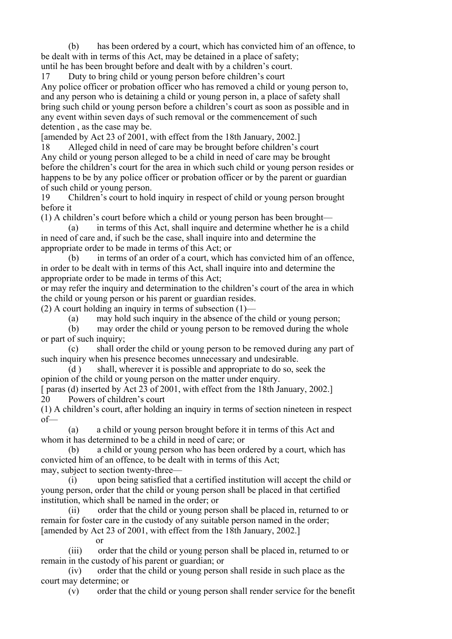(b) has been ordered by a court, which has convicted him of an offence, to be dealt with in terms of this Act, may be detained in a place of safety;

until he has been brought before and dealt with by a children's court. 17 Duty to bring child or young person before children's court

Any police officer or probation officer who has removed a child or young person to, and any person who is detaining a child or young person in, a place of safety shall bring such child or young person before a children's court as soon as possible and in any event within seven days of such removal or the commencement of such detention , as the case may be.

[amended by Act 23 of 2001, with effect from the 18th January, 2002.]

18 Alleged child in need of care may be brought before children's court Any child or young person alleged to be a child in need of care may be brought before the children's court for the area in which such child or young person resides or happens to be by any police officer or probation officer or by the parent or guardian of such child or young person.

19 Children's court to hold inquiry in respect of child or young person brought before it

(1) A children's court before which a child or young person has been brought—

 (a) in terms of this Act, shall inquire and determine whether he is a child in need of care and, if such be the case, shall inquire into and determine the appropriate order to be made in terms of this Act; or

 (b) in terms of an order of a court, which has convicted him of an offence, in order to be dealt with in terms of this Act, shall inquire into and determine the appropriate order to be made in terms of this Act;

or may refer the inquiry and determination to the children's court of the area in which the child or young person or his parent or guardian resides.

(2) A court holding an inquiry in terms of subsection  $(1)$ —

(a) may hold such inquiry in the absence of the child or young person;

 (b) may order the child or young person to be removed during the whole or part of such inquiry;

 (c) shall order the child or young person to be removed during any part of such inquiry when his presence becomes unnecessary and undesirable.

 (d ) shall, wherever it is possible and appropriate to do so, seek the opinion of the child or young person on the matter under enquiry.

[ paras (d) inserted by Act 23 of 2001, with effect from the 18th January, 2002.] 20 Powers of children's court

(1) A children's court, after holding an inquiry in terms of section nineteen in respect of—

 (a) a child or young person brought before it in terms of this Act and whom it has determined to be a child in need of care; or

 (b) a child or young person who has been ordered by a court, which has convicted him of an offence, to be dealt with in terms of this Act; may, subject to section twenty-three—

 (i) upon being satisfied that a certified institution will accept the child or young person, order that the child or young person shall be placed in that certified institution, which shall be named in the order; or

 (ii) order that the child or young person shall be placed in, returned to or remain for foster care in the custody of any suitable person named in the order; [amended by Act 23 of 2001, with effect from the 18th January, 2002.]

or

 (iii) order that the child or young person shall be placed in, returned to or remain in the custody of his parent or guardian; or

 (iv) order that the child or young person shall reside in such place as the court may determine; or

(v) order that the child or young person shall render service for the benefit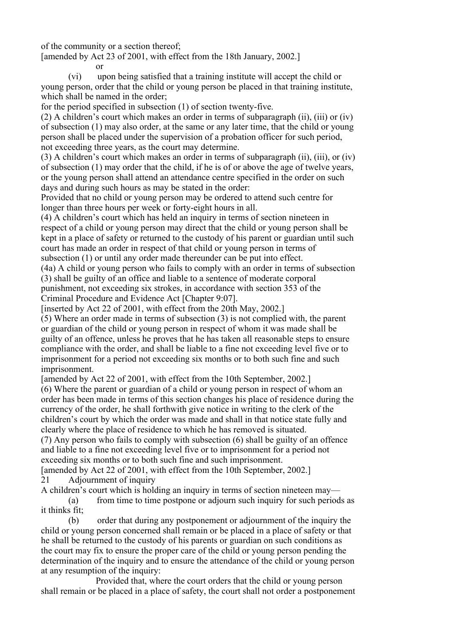of the community or a section thereof;

[amended by Act 23 of 2001, with effect from the 18th January, 2002.]

or

 (vi) upon being satisfied that a training institute will accept the child or young person, order that the child or young person be placed in that training institute, which shall be named in the order;

for the period specified in subsection (1) of section twenty-five.

(2) A children's court which makes an order in terms of subparagraph (ii), (iii) or (iv) of subsection (1) may also order, at the same or any later time, that the child or young person shall be placed under the supervision of a probation officer for such period, not exceeding three years, as the court may determine.

(3) A children's court which makes an order in terms of subparagraph (ii), (iii), or (iv) of subsection (1) may order that the child, if he is of or above the age of twelve years, or the young person shall attend an attendance centre specified in the order on such days and during such hours as may be stated in the order:

Provided that no child or young person may be ordered to attend such centre for longer than three hours per week or forty-eight hours in all.

(4) A children's court which has held an inquiry in terms of section nineteen in respect of a child or young person may direct that the child or young person shall be kept in a place of safety or returned to the custody of his parent or guardian until such court has made an order in respect of that child or young person in terms of subsection (1) or until any order made thereunder can be put into effect.

(4a) A child or young person who fails to comply with an order in terms of subsection (3) shall be guilty of an office and liable to a sentence of moderate corporal punishment, not exceeding six strokes, in accordance with section 353 of the Criminal Procedure and Evidence Act [Chapter 9:07].

[inserted by Act 22 of 2001, with effect from the 20th May, 2002.]

(5) Where an order made in terms of subsection (3) is not complied with, the parent or guardian of the child or young person in respect of whom it was made shall be guilty of an offence, unless he proves that he has taken all reasonable steps to ensure compliance with the order, and shall be liable to a fine not exceeding level five or to imprisonment for a period not exceeding six months or to both such fine and such imprisonment.

[amended by Act 22 of 2001, with effect from the 10th September, 2002.]

(6) Where the parent or guardian of a child or young person in respect of whom an order has been made in terms of this section changes his place of residence during the currency of the order, he shall forthwith give notice in writing to the clerk of the children's court by which the order was made and shall in that notice state fully and clearly where the place of residence to which he has removed is situated.

(7) Any person who fails to comply with subsection (6) shall be guilty of an offence and liable to a fine not exceeding level five or to imprisonment for a period not exceeding six months or to both such fine and such imprisonment.

[amended by Act 22 of 2001, with effect from the 10th September, 2002.] 21 Adjournment of inquiry

A children's court which is holding an inquiry in terms of section nineteen may—

 (a) from time to time postpone or adjourn such inquiry for such periods as it thinks fit;

 (b) order that during any postponement or adjournment of the inquiry the child or young person concerned shall remain or be placed in a place of safety or that he shall be returned to the custody of his parents or guardian on such conditions as the court may fix to ensure the proper care of the child or young person pending the determination of the inquiry and to ensure the attendance of the child or young person at any resumption of the inquiry:

 Provided that, where the court orders that the child or young person shall remain or be placed in a place of safety, the court shall not order a postponement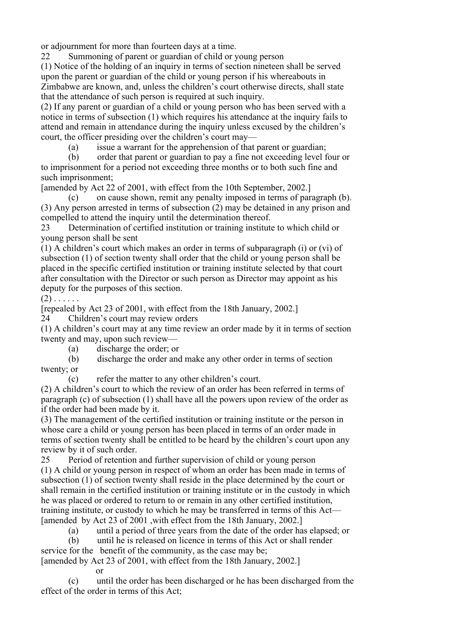or adjournment for more than fourteen days at a time.

22 Summoning of parent or guardian of child or young person

(1) Notice of the holding of an inquiry in terms of section nineteen shall be served upon the parent or guardian of the child or young person if his whereabouts in Zimbabwe are known, and, unless the children's court otherwise directs, shall state that the attendance of such person is required at such inquiry.

(2) If any parent or guardian of a child or young person who has been served with a notice in terms of subsection (1) which requires his attendance at the inquiry fails to attend and remain in attendance during the inquiry unless excused by the children's court, the officer presiding over the children's court may—

(a) issue a warrant for the apprehension of that parent or guardian;

 (b) order that parent or guardian to pay a fine not exceeding level four or to imprisonment for a period not exceeding three months or to both such fine and such imprisonment;

[amended by Act 22 of 2001, with effect from the 10th September, 2002.]

 (c) on cause shown, remit any penalty imposed in terms of paragraph (b). (3) Any person arrested in terms of subsection (2) may be detained in any prison and compelled to attend the inquiry until the determination thereof.

23 Determination of certified institution or training institute to which child or young person shall be sent

(1) A children's court which makes an order in terms of subparagraph (i) or (vi) of subsection (1) of section twenty shall order that the child or young person shall be placed in the specific certified institution or training institute selected by that court after consultation with the Director or such person as Director may appoint as his deputy for the purposes of this section.

 $(2)$  . . . . . .

[repealed by Act 23 of 2001, with effect from the 18th January, 2002.]

24 Children's court may review orders

(1) A children's court may at any time review an order made by it in terms of section twenty and may, upon such review—

(a) discharge the order; or

or

 (b) discharge the order and make any other order in terms of section twenty; or

(c) refer the matter to any other children's court.

(2) A children's court to which the review of an order has been referred in terms of paragraph (c) of subsection (1) shall have all the powers upon review of the order as if the order had been made by it.

(3) The management of the certified institution or training institute or the person in whose care a child or young person has been placed in terms of an order made in terms of section twenty shall be entitled to be heard by the children's court upon any review by it of such order.

25 Period of retention and further supervision of child or young person (1) A child or young person in respect of whom an order has been made in terms of subsection (1) of section twenty shall reside in the place determined by the court or shall remain in the certified institution or training institute or in the custody in which he was placed or ordered to return to or remain in any other certified institution, training institute, or custody to which he may be transferred in terms of this Act— [amended by Act 23 of 2001 ,with effect from the 18th January, 2002.]

(a) until a period of three years from the date of the order has elapsed; or

 (b) until he is released on licence in terms of this Act or shall render service for the benefit of the community, as the case may be;

[amended by Act 23 of 2001, with effect from the 18th January, 2002.]

 (c) until the order has been discharged or he has been discharged from the effect of the order in terms of this Act;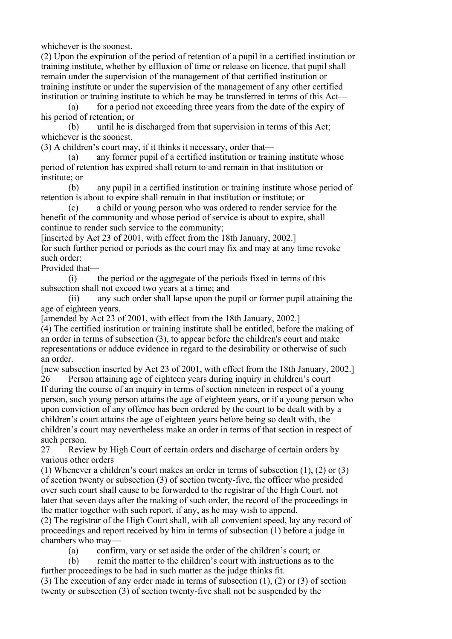whichever is the soonest.

(2) Upon the expiration of the period of retention of a pupil in a certified institution or training institute, whether by effluxion of time or release on licence, that pupil shall remain under the supervision of the management of that certified institution or training institute or under the supervision of the management of any other certified institution or training institute to which he may be transferred in terms of this Act—

 (a) for a period not exceeding three years from the date of the expiry of his period of retention; or

 (b) until he is discharged from that supervision in terms of this Act; whichever is the soonest.

(3) A children's court may, if it thinks it necessary, order that—

 (a) any former pupil of a certified institution or training institute whose period of retention has expired shall return to and remain in that institution or institute; or

 (b) any pupil in a certified institution or training institute whose period of retention is about to expire shall remain in that institution or institute; or

 (c) a child or young person who was ordered to render service for the benefit of the community and whose period of service is about to expire, shall continue to render such service to the community;

[inserted by Act 23 of 2001, with effect from the 18th January, 2002.] for such further period or periods as the court may fix and may at any time revoke such order:

Provided that—

 (i) the period or the aggregate of the periods fixed in terms of this subsection shall not exceed two years at a time; and

 (ii) any such order shall lapse upon the pupil or former pupil attaining the age of eighteen years.

[amended by Act 23 of 2001, with effect from the 18th January, 2002.] (4) The certified institution or training institute shall be entitled, before the making of

an order in terms of subsection (3), to appear before the children's court and make representations or adduce evidence in regard to the desirability or otherwise of such an order.

[new subsection inserted by Act 23 of 2001, with effect from the 18th January, 2002.] 26 Person attaining age of eighteen years during inquiry in children's court

If during the course of an inquiry in terms of section nineteen in respect of a young person, such young person attains the age of eighteen years, or if a young person who upon conviction of any offence has been ordered by the court to be dealt with by a children's court attains the age of eighteen years before being so dealt with, the children's court may nevertheless make an order in terms of that section in respect of such person.

27 Review by High Court of certain orders and discharge of certain orders by various other orders

(1) Whenever a children's court makes an order in terms of subsection (1), (2) or (3) of section twenty or subsection (3) of section twenty-five, the officer who presided over such court shall cause to be forwarded to the registrar of the High Court, not later that seven days after the making of such order, the record of the proceedings in the matter together with such report, if any, as he may wish to append.

(2) The registrar of the High Court shall, with all convenient speed, lay any record of proceedings and report received by him in terms of subsection (1) before a judge in chambers who may—

(a) confirm, vary or set aside the order of the children's court; or

 (b) remit the matter to the children's court with instructions as to the further proceedings to be had in such matter as the judge thinks fit.

(3) The execution of any order made in terms of subsection (1), (2) or (3) of section twenty or subsection (3) of section twenty-five shall not be suspended by the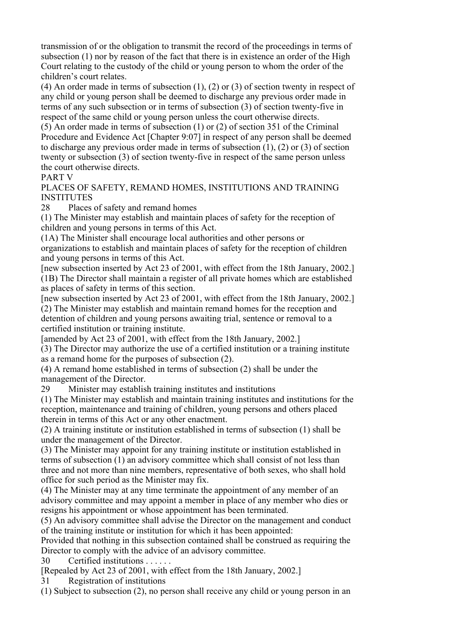transmission of or the obligation to transmit the record of the proceedings in terms of subsection (1) nor by reason of the fact that there is in existence an order of the High Court relating to the custody of the child or young person to whom the order of the children's court relates.

(4) An order made in terms of subsection (1), (2) or (3) of section twenty in respect of any child or young person shall be deemed to discharge any previous order made in terms of any such subsection or in terms of subsection (3) of section twenty-five in respect of the same child or young person unless the court otherwise directs.

(5) An order made in terms of subsection (1) or (2) of section 351 of the Criminal Procedure and Evidence Act [Chapter 9:07] in respect of any person shall be deemed to discharge any previous order made in terms of subsection (1), (2) or (3) of section twenty or subsection (3) of section twenty-five in respect of the same person unless the court otherwise directs.

PART V

PLACES OF SAFETY, REMAND HOMES, INSTITUTIONS AND TRAINING **INSTITUTES** 

28 Places of safety and remand homes

(1) The Minister may establish and maintain places of safety for the reception of children and young persons in terms of this Act.

(1A) The Minister shall encourage local authorities and other persons or

organizations to establish and maintain places of safety for the reception of children and young persons in terms of this Act.

[new subsection inserted by Act 23 of 2001, with effect from the 18th January, 2002.] (1B) The Director shall maintain a register of all private homes which are established as places of safety in terms of this section.

[new subsection inserted by Act 23 of 2001, with effect from the 18th January, 2002.] (2) The Minister may establish and maintain remand homes for the reception and detention of children and young persons awaiting trial, sentence or removal to a certified institution or training institute.

[amended by Act 23 of 2001, with effect from the 18th January, 2002.]

(3) The Director may authorize the use of a certified institution or a training institute as a remand home for the purposes of subsection (2).

(4) A remand home established in terms of subsection (2) shall be under the management of the Director.

29 Minister may establish training institutes and institutions

(1) The Minister may establish and maintain training institutes and institutions for the reception, maintenance and training of children, young persons and others placed therein in terms of this Act or any other enactment.

(2) A training institute or institution established in terms of subsection (1) shall be under the management of the Director.

(3) The Minister may appoint for any training institute or institution established in terms of subsection (1) an advisory committee which shall consist of not less than three and not more than nine members, representative of both sexes, who shall hold office for such period as the Minister may fix.

(4) The Minister may at any time terminate the appointment of any member of an advisory committee and may appoint a member in place of any member who dies or resigns his appointment or whose appointment has been terminated.

(5) An advisory committee shall advise the Director on the management and conduct of the training institute or institution for which it has been appointed:

Provided that nothing in this subsection contained shall be construed as requiring the Director to comply with the advice of an advisory committee.

30 Certified institutions . . . . . .

[Repealed by Act 23 of 2001, with effect from the 18th January, 2002.]

31 Registration of institutions

(1) Subject to subsection (2), no person shall receive any child or young person in an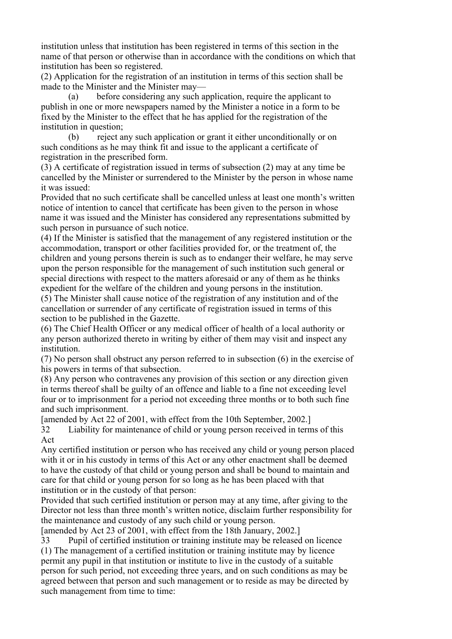institution unless that institution has been registered in terms of this section in the name of that person or otherwise than in accordance with the conditions on which that institution has been so registered.

(2) Application for the registration of an institution in terms of this section shall be made to the Minister and the Minister may—

 (a) before considering any such application, require the applicant to publish in one or more newspapers named by the Minister a notice in a form to be fixed by the Minister to the effect that he has applied for the registration of the institution in question;

 (b) reject any such application or grant it either unconditionally or on such conditions as he may think fit and issue to the applicant a certificate of registration in the prescribed form.

(3) A certificate of registration issued in terms of subsection (2) may at any time be cancelled by the Minister or surrendered to the Minister by the person in whose name it was issued:

Provided that no such certificate shall be cancelled unless at least one month's written notice of intention to cancel that certificate has been given to the person in whose name it was issued and the Minister has considered any representations submitted by such person in pursuance of such notice.

(4) If the Minister is satisfied that the management of any registered institution or the accommodation, transport or other facilities provided for, or the treatment of, the children and young persons therein is such as to endanger their welfare, he may serve upon the person responsible for the management of such institution such general or special directions with respect to the matters aforesaid or any of them as he thinks expedient for the welfare of the children and young persons in the institution.

(5) The Minister shall cause notice of the registration of any institution and of the cancellation or surrender of any certificate of registration issued in terms of this section to be published in the Gazette.

(6) The Chief Health Officer or any medical officer of health of a local authority or any person authorized thereto in writing by either of them may visit and inspect any institution.

(7) No person shall obstruct any person referred to in subsection (6) in the exercise of his powers in terms of that subsection.

(8) Any person who contravenes any provision of this section or any direction given in terms thereof shall be guilty of an offence and liable to a fine not exceeding level four or to imprisonment for a period not exceeding three months or to both such fine and such imprisonment.

[amended by Act 22 of 2001, with effect from the 10th September, 2002.]

32 Liability for maintenance of child or young person received in terms of this Act

Any certified institution or person who has received any child or young person placed with it or in his custody in terms of this Act or any other enactment shall be deemed to have the custody of that child or young person and shall be bound to maintain and care for that child or young person for so long as he has been placed with that institution or in the custody of that person:

Provided that such certified institution or person may at any time, after giving to the Director not less than three month's written notice, disclaim further responsibility for the maintenance and custody of any such child or young person.

[amended by Act 23 of 2001, with effect from the 18th January, 2002.]

33 Pupil of certified institution or training institute may be released on licence (1) The management of a certified institution or training institute may by licence permit any pupil in that institution or institute to live in the custody of a suitable person for such period, not exceeding three years, and on such conditions as may be agreed between that person and such management or to reside as may be directed by such management from time to time: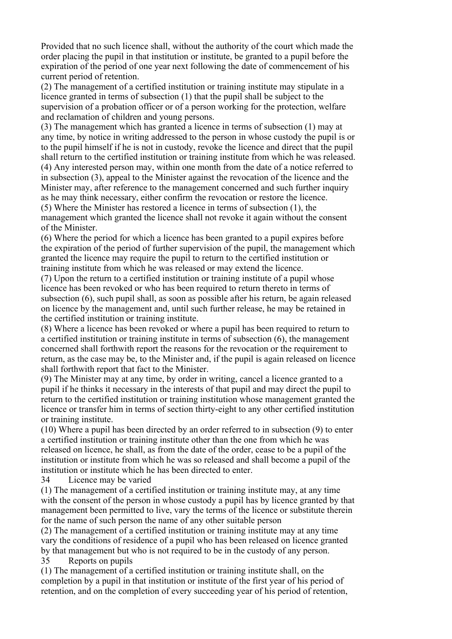Provided that no such licence shall, without the authority of the court which made the order placing the pupil in that institution or institute, be granted to a pupil before the expiration of the period of one year next following the date of commencement of his current period of retention.

(2) The management of a certified institution or training institute may stipulate in a licence granted in terms of subsection (1) that the pupil shall be subject to the supervision of a probation officer or of a person working for the protection, welfare and reclamation of children and young persons.

(3) The management which has granted a licence in terms of subsection (1) may at any time, by notice in writing addressed to the person in whose custody the pupil is or to the pupil himself if he is not in custody, revoke the licence and direct that the pupil shall return to the certified institution or training institute from which he was released. (4) Any interested person may, within one month from the date of a notice referred to in subsection (3), appeal to the Minister against the revocation of the licence and the Minister may, after reference to the management concerned and such further inquiry as he may think necessary, either confirm the revocation or restore the licence.

(5) Where the Minister has restored a licence in terms of subsection (1), the management which granted the licence shall not revoke it again without the consent of the Minister.

(6) Where the period for which a licence has been granted to a pupil expires before the expiration of the period of further supervision of the pupil, the management which granted the licence may require the pupil to return to the certified institution or training institute from which he was released or may extend the licence.

(7) Upon the return to a certified institution or training institute of a pupil whose licence has been revoked or who has been required to return thereto in terms of subsection (6), such pupil shall, as soon as possible after his return, be again released on licence by the management and, until such further release, he may be retained in the certified institution or training institute.

(8) Where a licence has been revoked or where a pupil has been required to return to a certified institution or training institute in terms of subsection (6), the management concerned shall forthwith report the reasons for the revocation or the requirement to return, as the case may be, to the Minister and, if the pupil is again released on licence shall forthwith report that fact to the Minister.

(9) The Minister may at any time, by order in writing, cancel a licence granted to a pupil if he thinks it necessary in the interests of that pupil and may direct the pupil to return to the certified institution or training institution whose management granted the licence or transfer him in terms of section thirty-eight to any other certified institution or training institute.

(10) Where a pupil has been directed by an order referred to in subsection (9) to enter a certified institution or training institute other than the one from which he was released on licence, he shall, as from the date of the order, cease to be a pupil of the institution or institute from which he was so released and shall become a pupil of the institution or institute which he has been directed to enter.

34 Licence may be varied

(1) The management of a certified institution or training institute may, at any time with the consent of the person in whose custody a pupil has by licence granted by that management been permitted to live, vary the terms of the licence or substitute therein for the name of such person the name of any other suitable person

(2) The management of a certified institution or training institute may at any time vary the conditions of residence of a pupil who has been released on licence granted by that management but who is not required to be in the custody of any person.

35 Reports on pupils

(1) The management of a certified institution or training institute shall, on the completion by a pupil in that institution or institute of the first year of his period of retention, and on the completion of every succeeding year of his period of retention,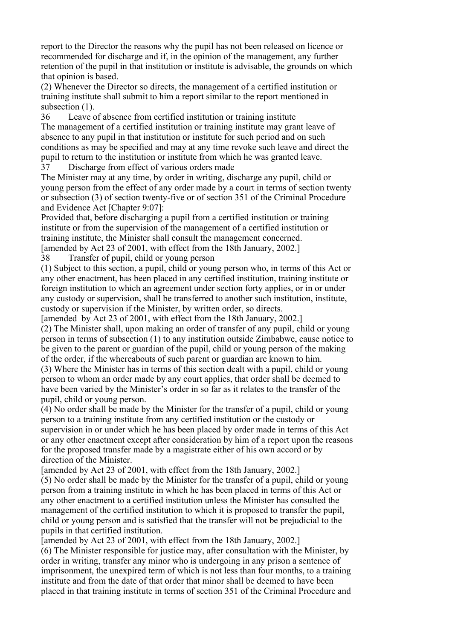report to the Director the reasons why the pupil has not been released on licence or recommended for discharge and if, in the opinion of the management, any further retention of the pupil in that institution or institute is advisable, the grounds on which that opinion is based.

(2) Whenever the Director so directs, the management of a certified institution or training institute shall submit to him a report similar to the report mentioned in subsection  $(1)$ .

36 Leave of absence from certified institution or training institute The management of a certified institution or training institute may grant leave of absence to any pupil in that institution or institute for such period and on such conditions as may be specified and may at any time revoke such leave and direct the pupil to return to the institution or institute from which he was granted leave.

37 Discharge from effect of various orders made

The Minister may at any time, by order in writing, discharge any pupil, child or young person from the effect of any order made by a court in terms of section twenty or subsection (3) of section twenty-five or of section 351 of the Criminal Procedure and Evidence Act [Chapter 9:07]:

Provided that, before discharging a pupil from a certified institution or training institute or from the supervision of the management of a certified institution or training institute, the Minister shall consult the management concerned. [amended by Act 23 of 2001, with effect from the 18th January, 2002.]

38 Transfer of pupil, child or young person

(1) Subject to this section, a pupil, child or young person who, in terms of this Act or any other enactment, has been placed in any certified institution, training institute or foreign institution to which an agreement under section forty applies, or in or under any custody or supervision, shall be transferred to another such institution, institute, custody or supervision if the Minister, by written order, so directs.

[amended by Act 23 of 2001, with effect from the 18th January, 2002.] (2) The Minister shall, upon making an order of transfer of any pupil, child or young person in terms of subsection (1) to any institution outside Zimbabwe, cause notice to be given to the parent or guardian of the pupil, child or young person of the making of the order, if the whereabouts of such parent or guardian are known to him.

(3) Where the Minister has in terms of this section dealt with a pupil, child or young person to whom an order made by any court applies, that order shall be deemed to have been varied by the Minister's order in so far as it relates to the transfer of the pupil, child or young person.

(4) No order shall be made by the Minister for the transfer of a pupil, child or young person to a training institute from any certified institution or the custody or supervision in or under which he has been placed by order made in terms of this Act or any other enactment except after consideration by him of a report upon the reasons for the proposed transfer made by a magistrate either of his own accord or by direction of the Minister.

[amended by Act 23 of 2001, with effect from the 18th January, 2002.]

(5) No order shall be made by the Minister for the transfer of a pupil, child or young person from a training institute in which he has been placed in terms of this Act or any other enactment to a certified institution unless the Minister has consulted the management of the certified institution to which it is proposed to transfer the pupil, child or young person and is satisfied that the transfer will not be prejudicial to the pupils in that certified institution.

[amended by Act 23 of 2001, with effect from the 18th January, 2002.]

(6) The Minister responsible for justice may, after consultation with the Minister, by order in writing, transfer any minor who is undergoing in any prison a sentence of imprisonment, the unexpired term of which is not less than four months, to a training institute and from the date of that order that minor shall be deemed to have been placed in that training institute in terms of section 351 of the Criminal Procedure and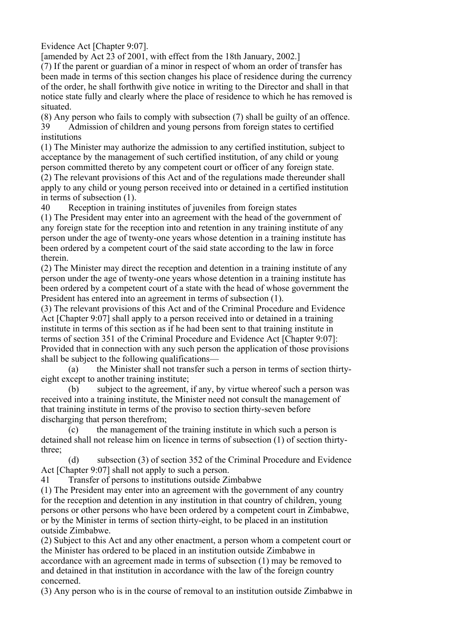Evidence Act [Chapter 9:07].

[amended by Act 23 of 2001, with effect from the 18th January, 2002.]

(7) If the parent or guardian of a minor in respect of whom an order of transfer has been made in terms of this section changes his place of residence during the currency of the order, he shall forthwith give notice in writing to the Director and shall in that notice state fully and clearly where the place of residence to which he has removed is situated.

(8) Any person who fails to comply with subsection (7) shall be guilty of an offence. 39 Admission of children and young persons from foreign states to certified institutions

(1) The Minister may authorize the admission to any certified institution, subject to acceptance by the management of such certified institution, of any child or young person committed thereto by any competent court or officer of any foreign state.

(2) The relevant provisions of this Act and of the regulations made thereunder shall apply to any child or young person received into or detained in a certified institution in terms of subsection (1).

40 Reception in training institutes of juveniles from foreign states

(1) The President may enter into an agreement with the head of the government of any foreign state for the reception into and retention in any training institute of any person under the age of twenty-one years whose detention in a training institute has been ordered by a competent court of the said state according to the law in force therein.

(2) The Minister may direct the reception and detention in a training institute of any person under the age of twenty-one years whose detention in a training institute has been ordered by a competent court of a state with the head of whose government the President has entered into an agreement in terms of subsection (1).

(3) The relevant provisions of this Act and of the Criminal Procedure and Evidence Act [Chapter 9:07] shall apply to a person received into or detained in a training institute in terms of this section as if he had been sent to that training institute in terms of section 351 of the Criminal Procedure and Evidence Act [Chapter 9:07]: Provided that in connection with any such person the application of those provisions shall be subject to the following qualifications—

 (a) the Minister shall not transfer such a person in terms of section thirtyeight except to another training institute;

 (b) subject to the agreement, if any, by virtue whereof such a person was received into a training institute, the Minister need not consult the management of that training institute in terms of the proviso to section thirty-seven before discharging that person therefrom;

 $(c)$  the management of the training institute in which such a person is detained shall not release him on licence in terms of subsection (1) of section thirtythree;

 (d) subsection (3) of section 352 of the Criminal Procedure and Evidence Act [Chapter 9:07] shall not apply to such a person.

41 Transfer of persons to institutions outside Zimbabwe

(1) The President may enter into an agreement with the government of any country for the reception and detention in any institution in that country of children, young persons or other persons who have been ordered by a competent court in Zimbabwe, or by the Minister in terms of section thirty-eight, to be placed in an institution outside Zimbabwe.

(2) Subject to this Act and any other enactment, a person whom a competent court or the Minister has ordered to be placed in an institution outside Zimbabwe in accordance with an agreement made in terms of subsection (1) may be removed to and detained in that institution in accordance with the law of the foreign country concerned.

(3) Any person who is in the course of removal to an institution outside Zimbabwe in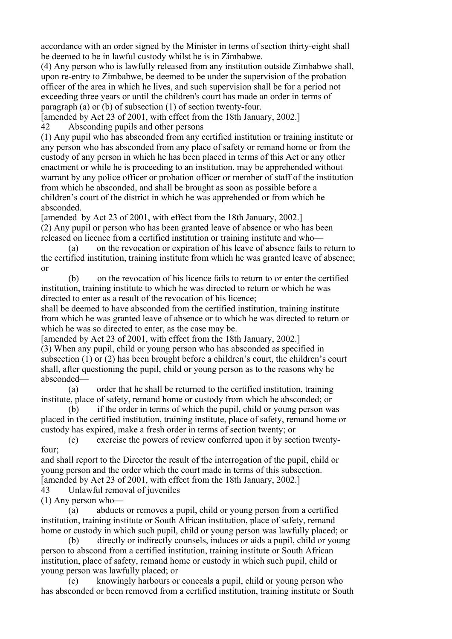accordance with an order signed by the Minister in terms of section thirty-eight shall be deemed to be in lawful custody whilst he is in Zimbabwe.

(4) Any person who is lawfully released from any institution outside Zimbabwe shall, upon re-entry to Zimbabwe, be deemed to be under the supervision of the probation officer of the area in which he lives, and such supervision shall be for a period not exceeding three years or until the children's court has made an order in terms of paragraph (a) or (b) of subsection (1) of section twenty-four.

[amended by Act 23 of 2001, with effect from the 18th January, 2002.]

42 Absconding pupils and other persons

(1) Any pupil who has absconded from any certified institution or training institute or any person who has absconded from any place of safety or remand home or from the custody of any person in which he has been placed in terms of this Act or any other enactment or while he is proceeding to an institution, may be apprehended without warrant by any police officer or probation officer or member of staff of the institution from which he absconded, and shall be brought as soon as possible before a children's court of the district in which he was apprehended or from which he absconded.

[amended by Act 23 of 2001, with effect from the 18th January, 2002.] (2) Any pupil or person who has been granted leave of absence or who has been released on licence from a certified institution or training institute and who—

 (a) on the revocation or expiration of his leave of absence fails to return to the certified institution, training institute from which he was granted leave of absence; or

 (b) on the revocation of his licence fails to return to or enter the certified institution, training institute to which he was directed to return or which he was directed to enter as a result of the revocation of his licence;

shall be deemed to have absconded from the certified institution, training institute from which he was granted leave of absence or to which he was directed to return or which he was so directed to enter, as the case may be.

[amended by Act 23 of 2001, with effect from the 18th January, 2002.]

(3) When any pupil, child or young person who has absconded as specified in subsection (1) or (2) has been brought before a children's court, the children's court shall, after questioning the pupil, child or young person as to the reasons why he absconded—

 (a) order that he shall be returned to the certified institution, training institute, place of safety, remand home or custody from which he absconded; or

 (b) if the order in terms of which the pupil, child or young person was placed in the certified institution, training institute, place of safety, remand home or custody has expired, make a fresh order in terms of section twenty; or

 (c) exercise the powers of review conferred upon it by section twentyfour;

and shall report to the Director the result of the interrogation of the pupil, child or young person and the order which the court made in terms of this subsection. [amended by Act 23 of 2001, with effect from the 18th January, 2002.]

43 Unlawful removal of juveniles

(1) Any person who—

 (a) abducts or removes a pupil, child or young person from a certified institution, training institute or South African institution, place of safety, remand home or custody in which such pupil, child or young person was lawfully placed; or

 (b) directly or indirectly counsels, induces or aids a pupil, child or young person to abscond from a certified institution, training institute or South African institution, place of safety, remand home or custody in which such pupil, child or young person was lawfully placed; or

 (c) knowingly harbours or conceals a pupil, child or young person who has absconded or been removed from a certified institution, training institute or South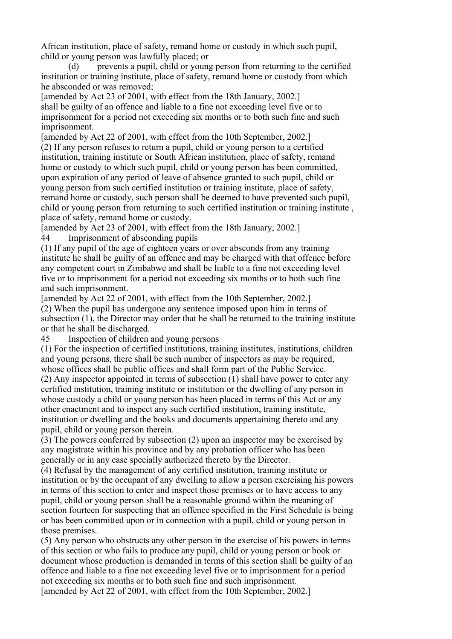African institution, place of safety, remand home or custody in which such pupil, child or young person was lawfully placed; or

 (d) prevents a pupil, child or young person from returning to the certified institution or training institute, place of safety, remand home or custody from which he absconded or was removed;

[amended by Act 23 of 2001, with effect from the 18th January, 2002.] shall be guilty of an offence and liable to a fine not exceeding level five or to imprisonment for a period not exceeding six months or to both such fine and such imprisonment.

[amended by Act 22 of 2001, with effect from the 10th September, 2002.] (2) If any person refuses to return a pupil, child or young person to a certified institution, training institute or South African institution, place of safety, remand home or custody to which such pupil, child or young person has been committed, upon expiration of any period of leave of absence granted to such pupil, child or young person from such certified institution or training institute, place of safety, remand home or custody, such person shall be deemed to have prevented such pupil, child or young person from returning to such certified institution or training institute , place of safety, remand home or custody.

[amended by Act 23 of 2001, with effect from the 18th January, 2002.] 44 Imprisonment of absconding pupils

(1) If any pupil of the age of eighteen years or over absconds from any training institute he shall be guilty of an offence and may be charged with that offence before any competent court in Zimbabwe and shall be liable to a fine not exceeding level five or to imprisonment for a period not exceeding six months or to both such fine and such imprisonment.

[amended by Act 22 of 2001, with effect from the 10th September, 2002.] (2) When the pupil has undergone any sentence imposed upon him in terms of subsection (1), the Director may order that he shall be returned to the training institute or that he shall be discharged.

45 Inspection of children and young persons

(1) For the inspection of certified institutions, training institutes, institutions, children and young persons, there shall be such number of inspectors as may be required, whose offices shall be public offices and shall form part of the Public Service.

(2) Any inspector appointed in terms of subsection (1) shall have power to enter any certified institution, training institute or institution or the dwelling of any person in whose custody a child or young person has been placed in terms of this Act or any other enactment and to inspect any such certified institution, training institute, institution or dwelling and the books and documents appertaining thereto and any pupil, child or young person therein.

(3) The powers conferred by subsection (2) upon an inspector may be exercised by any magistrate within his province and by any probation officer who has been generally or in any case specially authorized thereto by the Director.

(4) Refusal by the management of any certified institution, training institute or institution or by the occupant of any dwelling to allow a person exercising his powers in terms of this section to enter and inspect those premises or to have access to any pupil, child or young person shall be a reasonable ground within the meaning of section fourteen for suspecting that an offence specified in the First Schedule is being or has been committed upon or in connection with a pupil, child or young person in those premises.

(5) Any person who obstructs any other person in the exercise of his powers in terms of this section or who fails to produce any pupil, child or young person or book or document whose production is demanded in terms of this section shall be guilty of an offence and liable to a fine not exceeding level five or to imprisonment for a period not exceeding six months or to both such fine and such imprisonment. [amended by Act 22 of 2001, with effect from the 10th September, 2002.]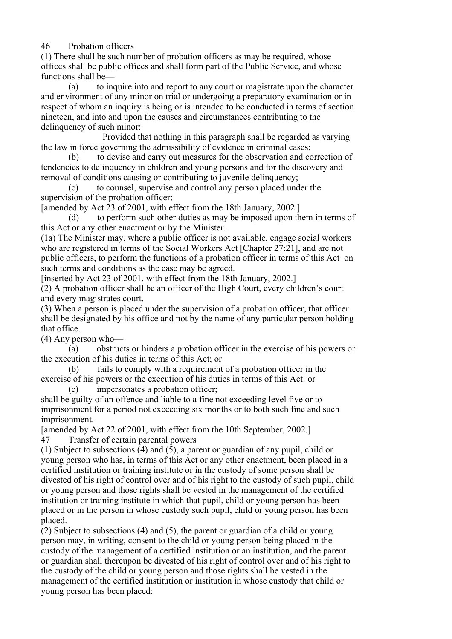46 Probation officers

(1) There shall be such number of probation officers as may be required, whose offices shall be public offices and shall form part of the Public Service, and whose functions shall be—

 (a) to inquire into and report to any court or magistrate upon the character and environment of any minor on trial or undergoing a preparatory examination or in respect of whom an inquiry is being or is intended to be conducted in terms of section nineteen, and into and upon the causes and circumstances contributing to the delinquency of such minor:

 Provided that nothing in this paragraph shall be regarded as varying the law in force governing the admissibility of evidence in criminal cases;

 (b) to devise and carry out measures for the observation and correction of tendencies to delinquency in children and young persons and for the discovery and removal of conditions causing or contributing to juvenile delinquency;

 (c) to counsel, supervise and control any person placed under the supervision of the probation officer;

[amended by Act 23 of 2001, with effect from the 18th January, 2002.]

 (d) to perform such other duties as may be imposed upon them in terms of this Act or any other enactment or by the Minister.

(1a) The Minister may, where a public officer is not available, engage social workers who are registered in terms of the Social Workers Act [Chapter 27:21], and are not public officers, to perform the functions of a probation officer in terms of this Act on such terms and conditions as the case may be agreed.

[inserted by Act 23 of 2001, with effect from the 18th January, 2002.] (2) A probation officer shall be an officer of the High Court, every children's court and every magistrates court.

(3) When a person is placed under the supervision of a probation officer, that officer shall be designated by his office and not by the name of any particular person holding that office.

(4) Any person who—

 (a) obstructs or hinders a probation officer in the exercise of his powers or the execution of his duties in terms of this Act; or

 (b) fails to comply with a requirement of a probation officer in the exercise of his powers or the execution of his duties in terms of this Act: or

(c) impersonates a probation officer;

shall be guilty of an offence and liable to a fine not exceeding level five or to imprisonment for a period not exceeding six months or to both such fine and such imprisonment.

[amended by Act 22 of 2001, with effect from the 10th September, 2002.] 47 Transfer of certain parental powers

(1) Subject to subsections (4) and (5), a parent or guardian of any pupil, child or young person who has, in terms of this Act or any other enactment, been placed in a certified institution or training institute or in the custody of some person shall be divested of his right of control over and of his right to the custody of such pupil, child or young person and those rights shall be vested in the management of the certified institution or training institute in which that pupil, child or young person has been placed or in the person in whose custody such pupil, child or young person has been placed.

(2) Subject to subsections (4) and (5), the parent or guardian of a child or young person may, in writing, consent to the child or young person being placed in the custody of the management of a certified institution or an institution, and the parent or guardian shall thereupon be divested of his right of control over and of his right to the custody of the child or young person and those rights shall be vested in the management of the certified institution or institution in whose custody that child or young person has been placed: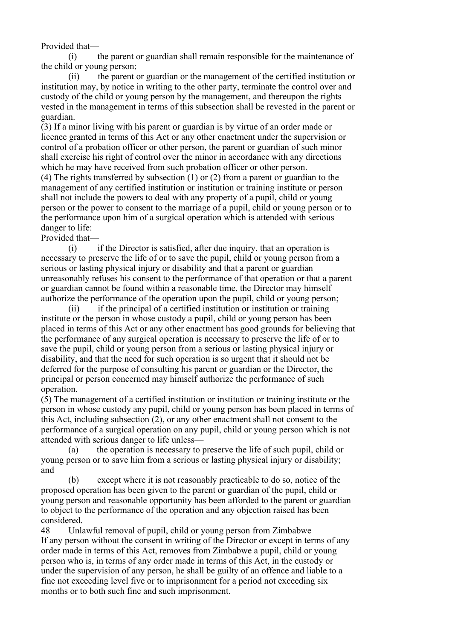Provided that—

 (i) the parent or guardian shall remain responsible for the maintenance of the child or young person;

 (ii) the parent or guardian or the management of the certified institution or institution may, by notice in writing to the other party, terminate the control over and custody of the child or young person by the management, and thereupon the rights vested in the management in terms of this subsection shall be revested in the parent or guardian.

(3) If a minor living with his parent or guardian is by virtue of an order made or licence granted in terms of this Act or any other enactment under the supervision or control of a probation officer or other person, the parent or guardian of such minor shall exercise his right of control over the minor in accordance with any directions which he may have received from such probation officer or other person.

(4) The rights transferred by subsection (1) or (2) from a parent or guardian to the management of any certified institution or institution or training institute or person shall not include the powers to deal with any property of a pupil, child or young person or the power to consent to the marriage of a pupil, child or young person or to the performance upon him of a surgical operation which is attended with serious danger to life:

Provided that—

 (i) if the Director is satisfied, after due inquiry, that an operation is necessary to preserve the life of or to save the pupil, child or young person from a serious or lasting physical injury or disability and that a parent or guardian unreasonably refuses his consent to the performance of that operation or that a parent or guardian cannot be found within a reasonable time, the Director may himself authorize the performance of the operation upon the pupil, child or young person;

 (ii) if the principal of a certified institution or institution or training institute or the person in whose custody a pupil, child or young person has been placed in terms of this Act or any other enactment has good grounds for believing that the performance of any surgical operation is necessary to preserve the life of or to save the pupil, child or young person from a serious or lasting physical injury or disability, and that the need for such operation is so urgent that it should not be deferred for the purpose of consulting his parent or guardian or the Director, the principal or person concerned may himself authorize the performance of such operation.

(5) The management of a certified institution or institution or training institute or the person in whose custody any pupil, child or young person has been placed in terms of this Act, including subsection (2), or any other enactment shall not consent to the performance of a surgical operation on any pupil, child or young person which is not attended with serious danger to life unless—

 (a) the operation is necessary to preserve the life of such pupil, child or young person or to save him from a serious or lasting physical injury or disability; and

 (b) except where it is not reasonably practicable to do so, notice of the proposed operation has been given to the parent or guardian of the pupil, child or young person and reasonable opportunity has been afforded to the parent or guardian to object to the performance of the operation and any objection raised has been considered.

48 Unlawful removal of pupil, child or young person from Zimbabwe If any person without the consent in writing of the Director or except in terms of any order made in terms of this Act, removes from Zimbabwe a pupil, child or young person who is, in terms of any order made in terms of this Act, in the custody or under the supervision of any person, he shall be guilty of an offence and liable to a fine not exceeding level five or to imprisonment for a period not exceeding six months or to both such fine and such imprisonment.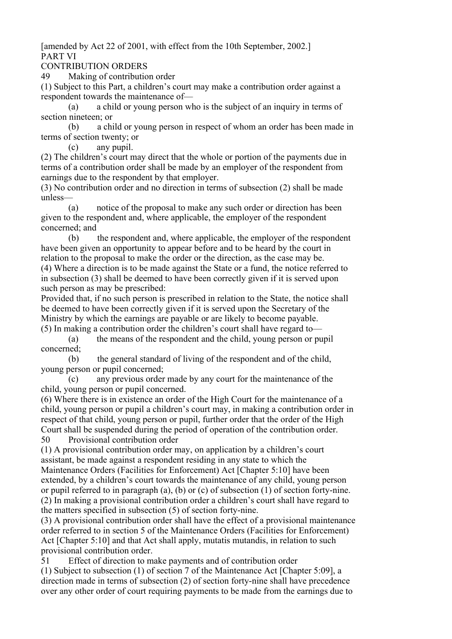[amended by Act 22 of 2001, with effect from the 10th September, 2002.] PART VI

CONTRIBUTION ORDERS

49 Making of contribution order

(1) Subject to this Part, a children's court may make a contribution order against a respondent towards the maintenance of—

 (a) a child or young person who is the subject of an inquiry in terms of section nineteen; or

 (b) a child or young person in respect of whom an order has been made in terms of section twenty; or

(c) any pupil.

(2) The children's court may direct that the whole or portion of the payments due in terms of a contribution order shall be made by an employer of the respondent from earnings due to the respondent by that employer.

(3) No contribution order and no direction in terms of subsection (2) shall be made unless—

 (a) notice of the proposal to make any such order or direction has been given to the respondent and, where applicable, the employer of the respondent concerned; and

 (b) the respondent and, where applicable, the employer of the respondent have been given an opportunity to appear before and to be heard by the court in relation to the proposal to make the order or the direction, as the case may be. (4) Where a direction is to be made against the State or a fund, the notice referred to in subsection (3) shall be deemed to have been correctly given if it is served upon such person as may be prescribed:

Provided that, if no such person is prescribed in relation to the State, the notice shall be deemed to have been correctly given if it is served upon the Secretary of the Ministry by which the earnings are payable or are likely to become payable. (5) In making a contribution order the children's court shall have regard to—

 (a) the means of the respondent and the child, young person or pupil concerned;

 (b) the general standard of living of the respondent and of the child, young person or pupil concerned;

 (c) any previous order made by any court for the maintenance of the child, young person or pupil concerned.

(6) Where there is in existence an order of the High Court for the maintenance of a child, young person or pupil a children's court may, in making a contribution order in respect of that child, young person or pupil, further order that the order of the High Court shall be suspended during the period of operation of the contribution order. 50 Provisional contribution order

(1) A provisional contribution order may, on application by a children's court assistant, be made against a respondent residing in any state to which the Maintenance Orders (Facilities for Enforcement) Act [Chapter 5:10] have been extended, by a children's court towards the maintenance of any child, young person or pupil referred to in paragraph (a), (b) or (c) of subsection (1) of section forty-nine. (2) In making a provisional contribution order a children's court shall have regard to the matters specified in subsection (5) of section forty-nine.

(3) A provisional contribution order shall have the effect of a provisional maintenance order referred to in section 5 of the Maintenance Orders (Facilities for Enforcement) Act [Chapter 5:10] and that Act shall apply, mutatis mutandis, in relation to such provisional contribution order.

51 Effect of direction to make payments and of contribution order

(1) Subject to subsection (1) of section 7 of the Maintenance Act [Chapter 5:09], a direction made in terms of subsection (2) of section forty-nine shall have precedence over any other order of court requiring payments to be made from the earnings due to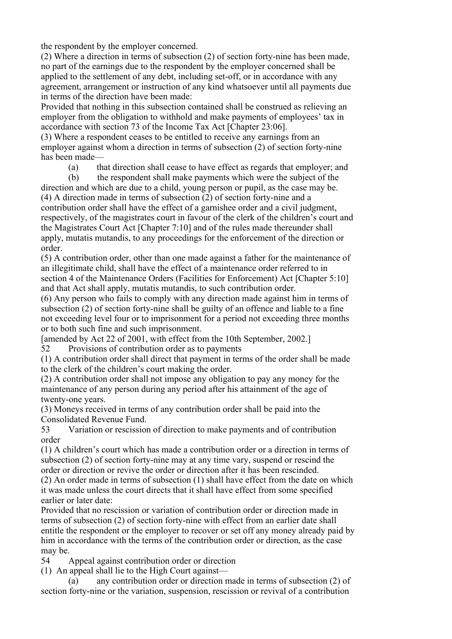the respondent by the employer concerned.

(2) Where a direction in terms of subsection (2) of section forty-nine has been made, no part of the earnings due to the respondent by the employer concerned shall be applied to the settlement of any debt, including set-off, or in accordance with any agreement, arrangement or instruction of any kind whatsoever until all payments due in terms of the direction have been made:

Provided that nothing in this subsection contained shall be construed as relieving an employer from the obligation to withhold and make payments of employees' tax in accordance with section 73 of the Income Tax Act [Chapter 23:06].

(3) Where a respondent ceases to be entitled to receive any earnings from an employer against whom a direction in terms of subsection (2) of section forty-nine has been made—

(a) that direction shall cease to have effect as regards that employer; and

(b) the respondent shall make payments which were the subject of the

direction and which are due to a child, young person or pupil, as the case may be. (4) A direction made in terms of subsection (2) of section forty-nine and a contribution order shall have the effect of a garnishee order and a civil judgment, respectively, of the magistrates court in favour of the clerk of the children's court and the Magistrates Court Act [Chapter 7:10] and of the rules made thereunder shall apply, mutatis mutandis, to any proceedings for the enforcement of the direction or order.

(5) A contribution order, other than one made against a father for the maintenance of an illegitimate child, shall have the effect of a maintenance order referred to in section 4 of the Maintenance Orders (Facilities for Enforcement) Act [Chapter 5:10] and that Act shall apply, mutatis mutandis, to such contribution order.

(6) Any person who fails to comply with any direction made against him in terms of subsection (2) of section forty-nine shall be guilty of an offence and liable to a fine not exceeding level four or to imprisonment for a period not exceeding three months or to both such fine and such imprisonment.

[amended by Act 22 of 2001, with effect from the 10th September, 2002.]

52 Provisions of contribution order as to payments

(1) A contribution order shall direct that payment in terms of the order shall be made to the clerk of the children's court making the order.

(2) A contribution order shall not impose any obligation to pay any money for the maintenance of any person during any period after his attainment of the age of twenty-one years.

(3) Moneys received in terms of any contribution order shall be paid into the Consolidated Revenue Fund.

53 Variation or rescission of direction to make payments and of contribution order

(1) A children's court which has made a contribution order or a direction in terms of subsection (2) of section forty-nine may at any time vary, suspend or rescind the order or direction or revive the order or direction after it has been rescinded.

(2) An order made in terms of subsection (1) shall have effect from the date on which it was made unless the court directs that it shall have effect from some specified earlier or later date:

Provided that no rescission or variation of contribution order or direction made in terms of subsection (2) of section forty-nine with effect from an earlier date shall entitle the respondent or the employer to recover or set off any money already paid by him in accordance with the terms of the contribution order or direction, as the case may be.

54 Appeal against contribution order or direction

(1) An appeal shall lie to the High Court against—

 (a) any contribution order or direction made in terms of subsection (2) of section forty-nine or the variation, suspension, rescission or revival of a contribution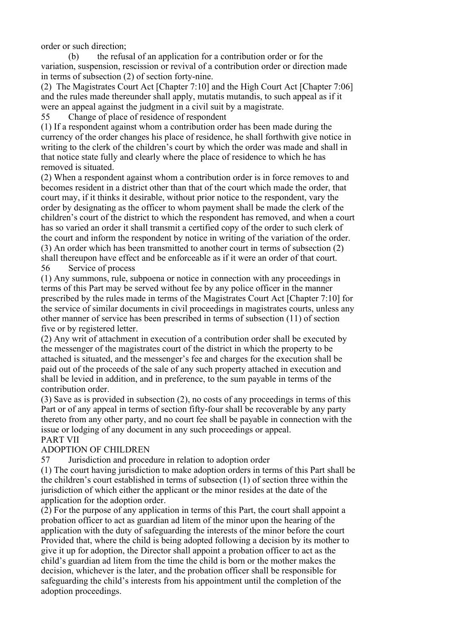order or such direction;

 (b) the refusal of an application for a contribution order or for the variation, suspension, rescission or revival of a contribution order or direction made in terms of subsection (2) of section forty-nine.

(2) The Magistrates Court Act [Chapter 7:10] and the High Court Act [Chapter 7:06] and the rules made thereunder shall apply, mutatis mutandis, to such appeal as if it were an appeal against the judgment in a civil suit by a magistrate.

55 Change of place of residence of respondent

(1) If a respondent against whom a contribution order has been made during the currency of the order changes his place of residence, he shall forthwith give notice in writing to the clerk of the children's court by which the order was made and shall in that notice state fully and clearly where the place of residence to which he has removed is situated.

(2) When a respondent against whom a contribution order is in force removes to and becomes resident in a district other than that of the court which made the order, that court may, if it thinks it desirable, without prior notice to the respondent, vary the order by designating as the officer to whom payment shall be made the clerk of the children's court of the district to which the respondent has removed, and when a court has so varied an order it shall transmit a certified copy of the order to such clerk of the court and inform the respondent by notice in writing of the variation of the order. (3) An order which has been transmitted to another court in terms of subsection (2) shall thereupon have effect and be enforceable as if it were an order of that court. 56 Service of process

(1) Any summons, rule, subpoena or notice in connection with any proceedings in terms of this Part may be served without fee by any police officer in the manner prescribed by the rules made in terms of the Magistrates Court Act [Chapter 7:10] for the service of similar documents in civil proceedings in magistrates courts, unless any other manner of service has been prescribed in terms of subsection (11) of section five or by registered letter.

(2) Any writ of attachment in execution of a contribution order shall be executed by the messenger of the magistrates court of the district in which the property to be attached is situated, and the messenger's fee and charges for the execution shall be paid out of the proceeds of the sale of any such property attached in execution and shall be levied in addition, and in preference, to the sum payable in terms of the contribution order.

(3) Save as is provided in subsection (2), no costs of any proceedings in terms of this Part or of any appeal in terms of section fifty-four shall be recoverable by any party thereto from any other party, and no court fee shall be payable in connection with the issue or lodging of any document in any such proceedings or appeal. PART VII

# ADOPTION OF CHILDREN

57 Jurisdiction and procedure in relation to adoption order

(1) The court having jurisdiction to make adoption orders in terms of this Part shall be the children's court established in terms of subsection (1) of section three within the jurisdiction of which either the applicant or the minor resides at the date of the application for the adoption order.

(2) For the purpose of any application in terms of this Part, the court shall appoint a probation officer to act as guardian ad litem of the minor upon the hearing of the application with the duty of safeguarding the interests of the minor before the court Provided that, where the child is being adopted following a decision by its mother to give it up for adoption, the Director shall appoint a probation officer to act as the child's guardian ad litem from the time the child is born or the mother makes the decision, whichever is the later, and the probation officer shall be responsible for safeguarding the child's interests from his appointment until the completion of the adoption proceedings.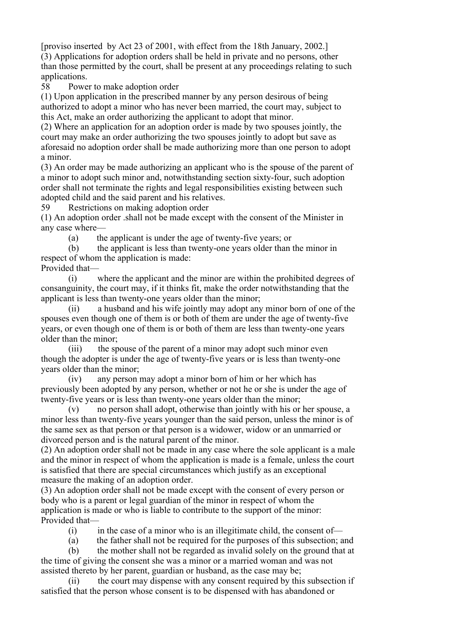[proviso inserted by Act 23 of 2001, with effect from the 18th January, 2002.] (3) Applications for adoption orders shall be held in private and no persons, other than those permitted by the court, shall be present at any proceedings relating to such applications.

58 Power to make adoption order

(1) Upon application in the prescribed manner by any person desirous of being authorized to adopt a minor who has never been married, the court may, subject to this Act, make an order authorizing the applicant to adopt that minor.

(2) Where an application for an adoption order is made by two spouses jointly, the court may make an order authorizing the two spouses jointly to adopt but save as aforesaid no adoption order shall be made authorizing more than one person to adopt a minor.

(3) An order may be made authorizing an applicant who is the spouse of the parent of a minor to adopt such minor and, notwithstanding section sixty-four, such adoption order shall not terminate the rights and legal responsibilities existing between such adopted child and the said parent and his relatives.

59 Restrictions on making adoption order

(1) An adoption order .shall not be made except with the consent of the Minister in any case where—

(a) the applicant is under the age of twenty-five years; or

 (b) the applicant is less than twenty-one years older than the minor in respect of whom the application is made:

Provided that—

 (i) where the applicant and the minor are within the prohibited degrees of consanguinity, the court may, if it thinks fit, make the order notwithstanding that the applicant is less than twenty-one years older than the minor;

 (ii) a husband and his wife jointly may adopt any minor born of one of the spouses even though one of them is or both of them are under the age of twenty-five years, or even though one of them is or both of them are less than twenty-one years older than the minor;

 (iii) the spouse of the parent of a minor may adopt such minor even though the adopter is under the age of twenty-five years or is less than twenty-one years older than the minor;

 (iv) any person may adopt a minor born of him or her which has previously been adopted by any person, whether or not he or she is under the age of twenty-five years or is less than twenty-one years older than the minor;

 (v) no person shall adopt, otherwise than jointly with his or her spouse, a minor less than twenty-five years younger than the said person, unless the minor is of the same sex as that person or that person is a widower, widow or an unmarried or divorced person and is the natural parent of the minor.

(2) An adoption order shall not be made in any case where the sole applicant is a male and the minor in respect of whom the application is made is a female, unless the court is satisfied that there are special circumstances which justify as an exceptional measure the making of an adoption order.

(3) An adoption order shall not be made except with the consent of every person or body who is a parent or legal guardian of the minor in respect of whom the application is made or who is liable to contribute to the support of the minor: Provided that—

 $(i)$  in the case of a minor who is an illegitimate child, the consent of—

(a) the father shall not be required for the purposes of this subsection; and

 (b) the mother shall not be regarded as invalid solely on the ground that at the time of giving the consent she was a minor or a married woman and was not assisted thereto by her parent, guardian or husband, as the case may be;

 (ii) the court may dispense with any consent required by this subsection if satisfied that the person whose consent is to be dispensed with has abandoned or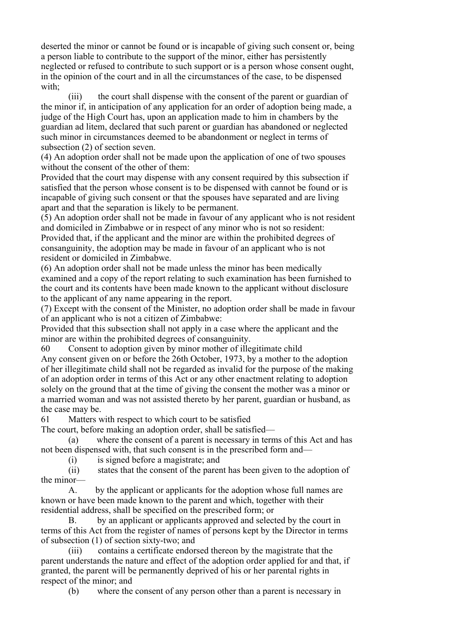deserted the minor or cannot be found or is incapable of giving such consent or, being a person liable to contribute to the support of the minor, either has persistently neglected or refused to contribute to such support or is a person whose consent ought, in the opinion of the court and in all the circumstances of the case, to be dispensed with;

 (iii) the court shall dispense with the consent of the parent or guardian of the minor if, in anticipation of any application for an order of adoption being made, a judge of the High Court has, upon an application made to him in chambers by the guardian ad litem, declared that such parent or guardian has abandoned or neglected such minor in circumstances deemed to be abandonment or neglect in terms of subsection (2) of section seven.

(4) An adoption order shall not be made upon the application of one of two spouses without the consent of the other of them:

Provided that the court may dispense with any consent required by this subsection if satisfied that the person whose consent is to be dispensed with cannot be found or is incapable of giving such consent or that the spouses have separated and are living apart and that the separation is likely to be permanent.

(5) An adoption order shall not be made in favour of any applicant who is not resident and domiciled in Zimbabwe or in respect of any minor who is not so resident: Provided that, if the applicant and the minor are within the prohibited degrees of consanguinity, the adoption may be made in favour of an applicant who is not resident or domiciled in Zimbabwe.

(6) An adoption order shall not be made unless the minor has been medically examined and a copy of the report relating to such examination has been furnished to the court and its contents have been made known to the applicant without disclosure to the applicant of any name appearing in the report.

(7) Except with the consent of the Minister, no adoption order shall be made in favour of an applicant who is not a citizen of Zimbabwe:

Provided that this subsection shall not apply in a case where the applicant and the minor are within the prohibited degrees of consanguinity.

60 Consent to adoption given by minor mother of illegitimate child Any consent given on or before the 26th October, 1973, by a mother to the adoption of her illegitimate child shall not be regarded as invalid for the purpose of the making of an adoption order in terms of this Act or any other enactment relating to adoption solely on the ground that at the time of giving the consent the mother was a minor or a married woman and was not assisted thereto by her parent, guardian or husband, as the case may be.

61 Matters with respect to which court to be satisfied

The court, before making an adoption order, shall be satisfied—

 (a) where the consent of a parent is necessary in terms of this Act and has not been dispensed with, that such consent is in the prescribed form and—

(i) is signed before a magistrate; and

 (ii) states that the consent of the parent has been given to the adoption of the minor—

 A. by the applicant or applicants for the adoption whose full names are known or have been made known to the parent and which, together with their residential address, shall be specified on the prescribed form; or

 B. by an applicant or applicants approved and selected by the court in terms of this Act from the register of names of persons kept by the Director in terms of subsection (1) of section sixty-two; and

 (iii) contains a certificate endorsed thereon by the magistrate that the parent understands the nature and effect of the adoption order applied for and that, if granted, the parent will be permanently deprived of his or her parental rights in respect of the minor; and

(b) where the consent of any person other than a parent is necessary in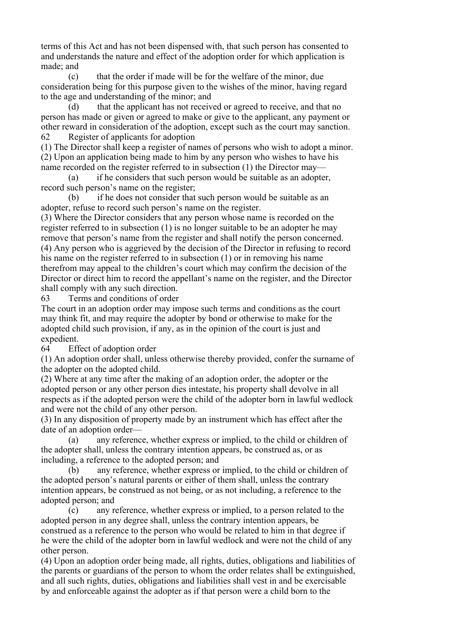terms of this Act and has not been dispensed with, that such person has consented to and understands the nature and effect of the adoption order for which application is made; and

 (c) that the order if made will be for the welfare of the minor, due consideration being for this purpose given to the wishes of the minor, having regard to the age and understanding of the minor; and

 (d) that the applicant has not received or agreed to receive, and that no person has made or given or agreed to make or give to the applicant, any payment or other reward in consideration of the adoption, except such as the court may sanction. 62 Register of applicants for adoption

(1) The Director shall keep a register of names of persons who wish to adopt a minor. (2) Upon an application being made to him by any person who wishes to have his name recorded on the register referred to in subsection (1) the Director may—

 (a) if he considers that such person would be suitable as an adopter, record such person's name on the register;

 (b) if he does not consider that such person would be suitable as an adopter, refuse to record such person's name on the register.

(3) Where the Director considers that any person whose name is recorded on the register referred to in subsection (1) is no longer suitable to be an adopter he may remove that person's name from the register and shall notify the person concerned. (4) Any person who is aggrieved by the decision of the Director in refusing to record his name on the register referred to in subsection (1) or in removing his name therefrom may appeal to the children's court which may confirm the decision of the Director or direct him to record the appellant's name on the register, and the Director shall comply with any such direction.

63 Terms and conditions of order

The court in an adoption order may impose such terms and conditions as the court may think fit, and may require the adopter by bond or otherwise to make for the adopted child such provision, if any, as in the opinion of the court is just and expedient.

64 Effect of adoption order

(1) An adoption order shall, unless otherwise thereby provided, confer the surname of the adopter on the adopted child.

(2) Where at any time after the making of an adoption order, the adopter or the adopted person or any other person dies intestate, his property shall devolve in all respects as if the adopted person were the child of the adopter born in lawful wedlock and were not the child of any other person.

(3) In any disposition of property made by an instrument which has effect after the date of an adoption order—

 (a) any reference, whether express or implied, to the child or children of the adopter shall, unless the contrary intention appears, be construed as, or as including, a reference to the adopted person; and

 (b) any reference, whether express or implied, to the child or children of the adopted person's natural parents or either of them shall, unless the contrary intention appears, be construed as not being, or as not including, a reference to the adopted person; and

 (c) any reference, whether express or implied, to a person related to the adopted person in any degree shall, unless the contrary intention appears, be construed as a reference to the person who would be related to him in that degree if he were the child of the adopter born in lawful wedlock and were not the child of any other person.

(4) Upon an adoption order being made, all rights, duties, obligations and liabilities of the parents or guardians of the person to whom the order relates shall be extinguished, and all such rights, duties, obligations and liabilities shall vest in and be exercisable by and enforceable against the adopter as if that person were a child born to the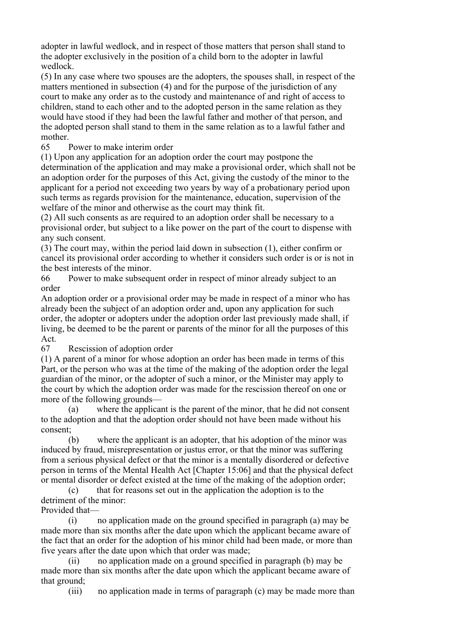adopter in lawful wedlock, and in respect of those matters that person shall stand to the adopter exclusively in the position of a child born to the adopter in lawful wedlock.

(5) In any case where two spouses are the adopters, the spouses shall, in respect of the matters mentioned in subsection (4) and for the purpose of the jurisdiction of any court to make any order as to the custody and maintenance of and right of access to children, stand to each other and to the adopted person in the same relation as they would have stood if they had been the lawful father and mother of that person, and the adopted person shall stand to them in the same relation as to a lawful father and mother.

65 Power to make interim order

(1) Upon any application for an adoption order the court may postpone the

determination of the application and may make a provisional order, which shall not be an adoption order for the purposes of this Act, giving the custody of the minor to the applicant for a period not exceeding two years by way of a probationary period upon such terms as regards provision for the maintenance, education, supervision of the welfare of the minor and otherwise as the court may think fit.

(2) All such consents as are required to an adoption order shall be necessary to a provisional order, but subject to a like power on the part of the court to dispense with any such consent.

(3) The court may, within the period laid down in subsection (1), either confirm or cancel its provisional order according to whether it considers such order is or is not in the best interests of the minor.

66 Power to make subsequent order in respect of minor already subject to an order

An adoption order or a provisional order may be made in respect of a minor who has already been the subject of an adoption order and, upon any application for such order, the adopter or adopters under the adoption order last previously made shall, if living, be deemed to be the parent or parents of the minor for all the purposes of this Act.

67 Rescission of adoption order

(1) A parent of a minor for whose adoption an order has been made in terms of this Part, or the person who was at the time of the making of the adoption order the legal guardian of the minor, or the adopter of such a minor, or the Minister may apply to the court by which the adoption order was made for the rescission thereof on one or more of the following grounds—

 (a) where the applicant is the parent of the minor, that he did not consent to the adoption and that the adoption order should not have been made without his consent;

 (b) where the applicant is an adopter, that his adoption of the minor was induced by fraud, misrepresentation or justus error, or that the minor was suffering from a serious physical defect or that the minor is a mentally disordered or defective person in terms of the Mental Health Act [Chapter 15:06] and that the physical defect or mental disorder or defect existed at the time of the making of the adoption order;

 (c) that for reasons set out in the application the adoption is to the detriment of the minor:

Provided that—

 (i) no application made on the ground specified in paragraph (a) may be made more than six months after the date upon which the applicant became aware of the fact that an order for the adoption of his minor child had been made, or more than five years after the date upon which that order was made;

 (ii) no application made on a ground specified in paragraph (b) may be made more than six months after the date upon which the applicant became aware of that ground;

(iii) no application made in terms of paragraph (c) may be made more than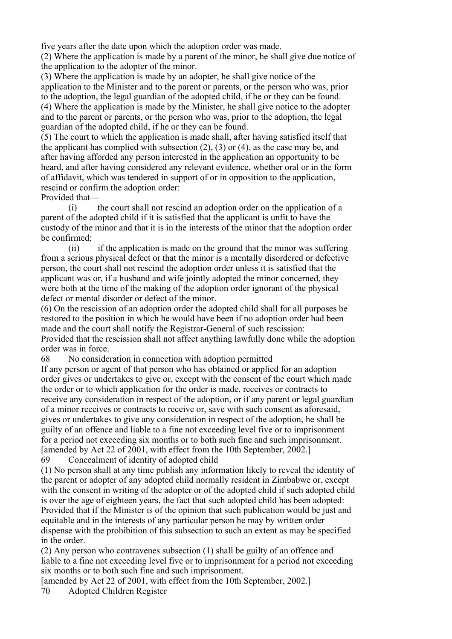five years after the date upon which the adoption order was made.

(2) Where the application is made by a parent of the minor, he shall give due notice of the application to the adopter of the minor.

(3) Where the application is made by an adopter, he shall give notice of the application to the Minister and to the parent or parents, or the person who was, prior to the adoption, the legal guardian of the adopted child, if he or they can be found. (4) Where the application is made by the Minister, he shall give notice to the adopter and to the parent or parents, or the person who was, prior to the adoption, the legal guardian of the adopted child, if he or they can be found.

(5) The court to which the application is made shall, after having satisfied itself that the applicant has complied with subsection  $(2)$ ,  $(3)$  or  $(4)$ , as the case may be, and after having afforded any person interested in the application an opportunity to be heard, and after having considered any relevant evidence, whether oral or in the form of affidavit, which was tendered in support of or in opposition to the application, rescind or confirm the adoption order:

Provided that—

 (i) the court shall not rescind an adoption order on the application of a parent of the adopted child if it is satisfied that the applicant is unfit to have the custody of the minor and that it is in the interests of the minor that the adoption order be confirmed;

 (ii) if the application is made on the ground that the minor was suffering from a serious physical defect or that the minor is a mentally disordered or defective person, the court shall not rescind the adoption order unless it is satisfied that the applicant was or, if a husband and wife jointly adopted the minor concerned, they were both at the time of the making of the adoption order ignorant of the physical defect or mental disorder or defect of the minor.

(6) On the rescission of an adoption order the adopted child shall for all purposes be restored to the position in which he would have been if no adoption order had been made and the court shall notify the Registrar-General of such rescission:

Provided that the rescission shall not affect anything lawfully done while the adoption order was in force.

68 No consideration in connection with adoption permitted

If any person or agent of that person who has obtained or applied for an adoption order gives or undertakes to give or, except with the consent of the court which made the order or to which application for the order is made, receives or contracts to receive any consideration in respect of the adoption, or if any parent or legal guardian of a minor receives or contracts to receive or, save with such consent as aforesaid, gives or undertakes to give any consideration in respect of the adoption, he shall be guilty of an offence and liable to a fine not exceeding level five or to imprisonment for a period not exceeding six months or to both such fine and such imprisonment. [amended by Act 22 of 2001, with effect from the 10th September, 2002.] 69 Concealment of identity of adopted child

(1) No person shall at any time publish any information likely to reveal the identity of the parent or adopter of any adopted child normally resident in Zimbabwe or, except with the consent in writing of the adopter or of the adopted child if such adopted child is over the age of eighteen years, the fact that such adopted child has been adopted: Provided that if the Minister is of the opinion that such publication would be just and equitable and in the interests of any particular person he may by written order dispense with the prohibition of this subsection to such an extent as may be specified in the order.

(2) Any person who contravenes subsection (1) shall be guilty of an offence and liable to a fine not exceeding level five or to imprisonment for a period not exceeding six months or to both such fine and such imprisonment.

[amended by Act 22 of 2001, with effect from the 10th September, 2002.]

70 Adopted Children Register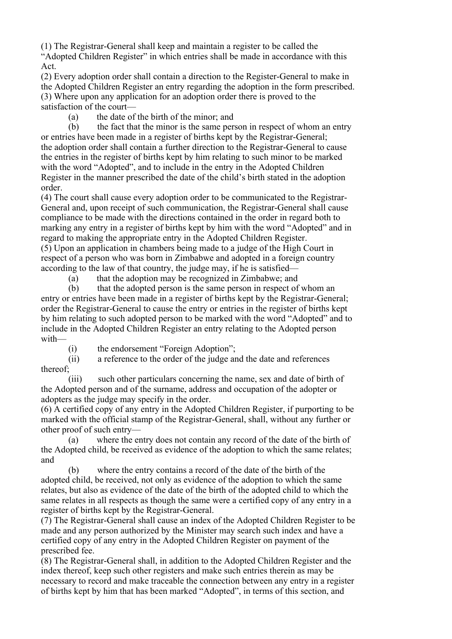(1) The Registrar-General shall keep and maintain a register to be called the "Adopted Children Register" in which entries shall be made in accordance with this

Act. (2) Every adoption order shall contain a direction to the Register-General to make in

the Adopted Children Register an entry regarding the adoption in the form prescribed. (3) Where upon any application for an adoption order there is proved to the satisfaction of the court—

(a) the date of the birth of the minor; and

 (b) the fact that the minor is the same person in respect of whom an entry or entries have been made in a register of births kept by the Registrar-General; the adoption order shall contain a further direction to the Registrar-General to cause the entries in the register of births kept by him relating to such minor to be marked with the word "Adopted", and to include in the entry in the Adopted Children Register in the manner prescribed the date of the child's birth stated in the adoption order.

(4) The court shall cause every adoption order to be communicated to the Registrar-General and, upon receipt of such communication, the Registrar-General shall cause compliance to be made with the directions contained in the order in regard both to marking any entry in a register of births kept by him with the word "Adopted" and in regard to making the appropriate entry in the Adopted Children Register. (5) Upon an application in chambers being made to a judge of the High Court in respect of a person who was born in Zimbabwe and adopted in a foreign country according to the law of that country, the judge may, if he is satisfied—

(a) that the adoption may be recognized in Zimbabwe; and

 (b) that the adopted person is the same person in respect of whom an entry or entries have been made in a register of births kept by the Registrar-General; order the Registrar-General to cause the entry or entries in the register of births kept by him relating to such adopted person to be marked with the word "Adopted" and to include in the Adopted Children Register an entry relating to the Adopted person with—

(i) the endorsement "Foreign Adoption";

 (ii) a reference to the order of the judge and the date and references thereof;

 (iii) such other particulars concerning the name, sex and date of birth of the Adopted person and of the surname, address and occupation of the adopter or adopters as the judge may specify in the order.

(6) A certified copy of any entry in the Adopted Children Register, if purporting to be marked with the official stamp of the Registrar-General, shall, without any further or other proof of such entry—

 (a) where the entry does not contain any record of the date of the birth of the Adopted child, be received as evidence of the adoption to which the same relates; and

 (b) where the entry contains a record of the date of the birth of the adopted child, be received, not only as evidence of the adoption to which the same relates, but also as evidence of the date of the birth of the adopted child to which the same relates in all respects as though the same were a certified copy of any entry in a register of births kept by the Registrar-General.

(7) The Registrar-General shall cause an index of the Adopted Children Register to be made and any person authorized by the Minister may search such index and have a certified copy of any entry in the Adopted Children Register on payment of the prescribed fee.

(8) The Registrar-General shall, in addition to the Adopted Children Register and the index thereof, keep such other registers and make such entries therein as may be necessary to record and make traceable the connection between any entry in a register of births kept by him that has been marked "Adopted", in terms of this section, and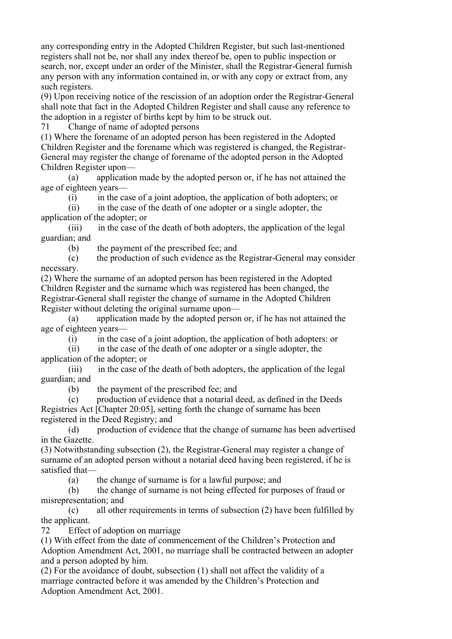any corresponding entry in the Adopted Children Register, but such last-mentioned registers shall not be, nor shall any index thereof be, open to public inspection or search, nor, except under an order of the Minister, shall the Registrar-General furnish any person with any information contained in, or with any copy or extract from, any such registers.

(9) Upon receiving notice of the rescission of an adoption order the Registrar-General shall note that fact in the Adopted Children Register and shall cause any reference to the adoption in a register of births kept by him to be struck out.

71 Change of name of adopted persons

(1) Where the forename of an adopted person has been registered in the Adopted Children Register and the forename which was registered is changed, the Registrar-General may register the change of forename of the adopted person in the Adopted Children Register upon—

 (a) application made by the adopted person or, if he has not attained the age of eighteen years—

(i) in the case of a joint adoption, the application of both adopters; or

 (ii) in the case of the death of one adopter or a single adopter, the application of the adopter; or

 (iii) in the case of the death of both adopters, the application of the legal guardian; and

(b) the payment of the prescribed fee; and

 (c) the production of such evidence as the Registrar-General may consider necessary.

(2) Where the surname of an adopted person has been registered in the Adopted Children Register and the surname which was registered has been changed, the Registrar-General shall register the change of surname in the Adopted Children Register without deleting the original surname upon—

 (a) application made by the adopted person or, if he has not attained the age of eighteen years—

(i) in the case of a joint adoption, the application of both adopters: or

 (ii) in the case of the death of one adopter or a single adopter, the application of the adopter; or

 (iii) in the case of the death of both adopters, the application of the legal guardian; and

(b) the payment of the prescribed fee; and

 (c) production of evidence that a notarial deed, as defined in the Deeds Registries Act [Chapter 20:05], setting forth the change of surname has been registered in the Deed Registry; and

 (d) production of evidence that the change of surname has been advertised in the Gazette.

(3) Notwithstanding subsection (2), the Registrar-General may register a change of surname of an adopted person without a notarial deed having been registered, if he is satisfied that—

(a) the change of surname is for a lawful purpose; and

 (b) the change of surname is not being effected for purposes of fraud or misrepresentation; and

 (c) all other requirements in terms of subsection (2) have been fulfilled by the applicant.

72 Effect of adoption on marriage

(1) With effect from the date of commencement of the Children's Protection and Adoption Amendment Act, 2001, no marriage shall be contracted between an adopter and a person adopted by him.

(2) For the avoidance of doubt, subsection (1) shall not affect the validity of a marriage contracted before it was amended by the Children's Protection and Adoption Amendment Act, 2001.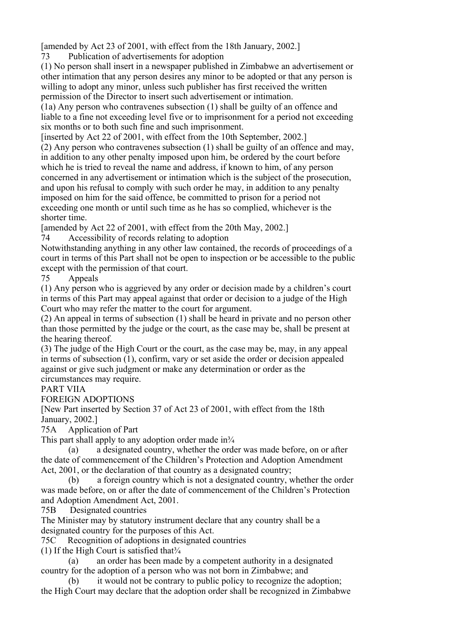[amended by Act 23 of 2001, with effect from the 18th January, 2002.]

73 Publication of advertisements for adoption

(1) No person shall insert in a newspaper published in Zimbabwe an advertisement or other intimation that any person desires any minor to be adopted or that any person is willing to adopt any minor, unless such publisher has first received the written permission of the Director to insert such advertisement or intimation.

(1a) Any person who contravenes subsection (1) shall be guilty of an offence and liable to a fine not exceeding level five or to imprisonment for a period not exceeding six months or to both such fine and such imprisonment.

[inserted by Act 22 of 2001, with effect from the 10th September, 2002.]

(2) Any person who contravenes subsection (1) shall be guilty of an offence and may, in addition to any other penalty imposed upon him, be ordered by the court before which he is tried to reveal the name and address, if known to him, of any person concerned in any advertisement or intimation which is the subject of the prosecution, and upon his refusal to comply with such order he may, in addition to any penalty imposed on him for the said offence, be committed to prison for a period not exceeding one month or until such time as he has so complied, whichever is the shorter time.

[amended by Act 22 of 2001, with effect from the 20th May, 2002.]

74 Accessibility of records relating to adoption

Notwithstanding anything in any other law contained, the records of proceedings of a court in terms of this Part shall not be open to inspection or be accessible to the public except with the permission of that court.

75 Appeals

(1) Any person who is aggrieved by any order or decision made by a children's court in terms of this Part may appeal against that order or decision to a judge of the High Court who may refer the matter to the court for argument.

(2) An appeal in terms of subsection (1) shall be heard in private and no person other than those permitted by the judge or the court, as the case may be, shall be present at the hearing thereof.

(3) The judge of the High Court or the court, as the case may be, may, in any appeal in terms of subsection (1), confirm, vary or set aside the order or decision appealed against or give such judgment or make any determination or order as the circumstances may require.

PART VIIA

FOREIGN ADOPTIONS

[New Part inserted by Section 37 of Act 23 of 2001, with effect from the 18th January, 2002.]

75A Application of Part

This part shall apply to any adoption order made in  $\frac{3}{4}$ 

 (a) a designated country, whether the order was made before, on or after the date of commencement of the Children's Protection and Adoption Amendment Act, 2001, or the declaration of that country as a designated country;

 (b) a foreign country which is not a designated country, whether the order was made before, on or after the date of commencement of the Children's Protection and Adoption Amendment Act, 2001.

75B Designated countries

The Minister may by statutory instrument declare that any country shall be a designated country for the purposes of this Act.

75C Recognition of adoptions in designated countries

(1) If the High Court is satisfied that $\frac{3}{4}$ 

 (a) an order has been made by a competent authority in a designated country for the adoption of a person who was not born in Zimbabwe; and

(b) it would not be contrary to public policy to recognize the adoption;

the High Court may declare that the adoption order shall be recognized in Zimbabwe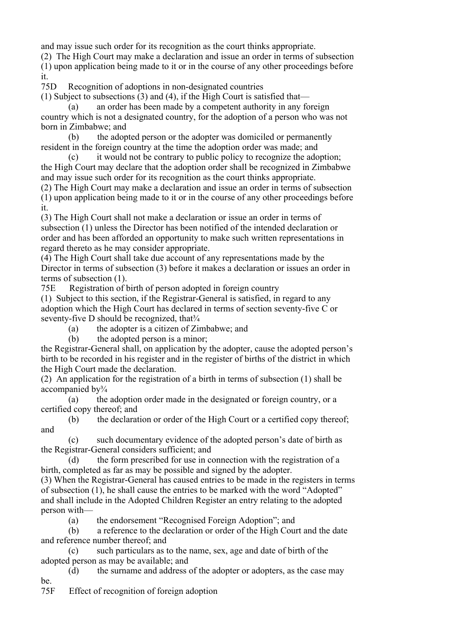and may issue such order for its recognition as the court thinks appropriate.

(2) The High Court may make a declaration and issue an order in terms of subsection

(1) upon application being made to it or in the course of any other proceedings before it.

75D Recognition of adoptions in non-designated countries

(1) Subject to subsections (3) and (4), if the High Court is satisfied that—

 (a) an order has been made by a competent authority in any foreign country which is not a designated country, for the adoption of a person who was not born in Zimbabwe; and

 (b) the adopted person or the adopter was domiciled or permanently resident in the foreign country at the time the adoption order was made; and

 (c) it would not be contrary to public policy to recognize the adoption; the High Court may declare that the adoption order shall be recognized in Zimbabwe and may issue such order for its recognition as the court thinks appropriate.

(2) The High Court may make a declaration and issue an order in terms of subsection (1) upon application being made to it or in the course of any other proceedings before it.

(3) The High Court shall not make a declaration or issue an order in terms of subsection (1) unless the Director has been notified of the intended declaration or order and has been afforded an opportunity to make such written representations in regard thereto as he may consider appropriate.

(4) The High Court shall take due account of any representations made by the Director in terms of subsection (3) before it makes a declaration or issues an order in terms of subsection (1).

75E Registration of birth of person adopted in foreign country

(1) Subject to this section, if the Registrar-General is satisfied, in regard to any adoption which the High Court has declared in terms of section seventy-five C or seventy-five D should be recognized, that $\frac{3}{4}$ 

(a) the adopter is a citizen of Zimbabwe; and

(b) the adopted person is a minor;

the Registrar-General shall, on application by the adopter, cause the adopted person's birth to be recorded in his register and in the register of births of the district in which the High Court made the declaration.

(2) An application for the registration of a birth in terms of subsection (1) shall be accompanied by¾

 (a) the adoption order made in the designated or foreign country, or a certified copy thereof; and

 (b) the declaration or order of the High Court or a certified copy thereof; and

 (c) such documentary evidence of the adopted person's date of birth as the Registrar-General considers sufficient; and

 (d) the form prescribed for use in connection with the registration of a birth, completed as far as may be possible and signed by the adopter.

(3) When the Registrar-General has caused entries to be made in the registers in terms of subsection (1), he shall cause the entries to be marked with the word "Adopted" and shall include in the Adopted Children Register an entry relating to the adopted person with—

(a) the endorsement "Recognised Foreign Adoption"; and

 (b) a reference to the declaration or order of the High Court and the date and reference number thereof; and

 (c) such particulars as to the name, sex, age and date of birth of the adopted person as may be available; and

 (d) the surname and address of the adopter or adopters, as the case may be.

75F Effect of recognition of foreign adoption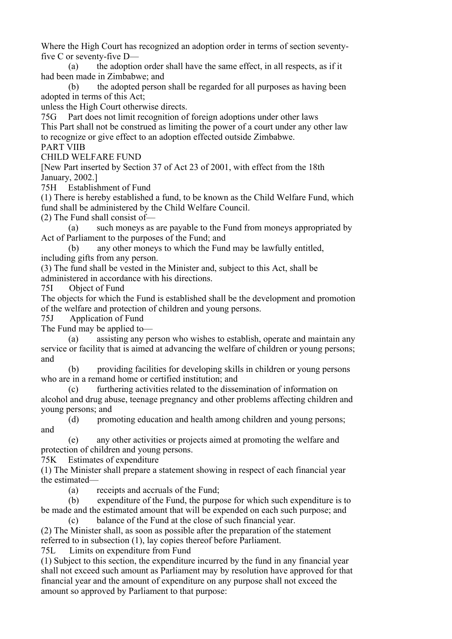Where the High Court has recognized an adoption order in terms of section seventyfive C or seventy-five D—

 (a) the adoption order shall have the same effect, in all respects, as if it had been made in Zimbabwe; and

 (b) the adopted person shall be regarded for all purposes as having been adopted in terms of this Act;

unless the High Court otherwise directs.

75G Part does not limit recognition of foreign adoptions under other laws This Part shall not be construed as limiting the power of a court under any other law to recognize or give effect to an adoption effected outside Zimbabwe.

PART VIIB CHILD WELFARE FUND

[New Part inserted by Section 37 of Act 23 of 2001, with effect from the 18th January, 2002.]

75H Establishment of Fund

(1) There is hereby established a fund, to be known as the Child Welfare Fund, which fund shall be administered by the Child Welfare Council.

(2) The Fund shall consist of—

 (a) such moneys as are payable to the Fund from moneys appropriated by Act of Parliament to the purposes of the Fund; and

 (b) any other moneys to which the Fund may be lawfully entitled, including gifts from any person.

(3) The fund shall be vested in the Minister and, subject to this Act, shall be

administered in accordance with his directions.

75I Object of Fund

The objects for which the Fund is established shall be the development and promotion of the welfare and protection of children and young persons.

75J Application of Fund

The Fund may be applied to—

 (a) assisting any person who wishes to establish, operate and maintain any service or facility that is aimed at advancing the welfare of children or young persons; and

 (b) providing facilities for developing skills in children or young persons who are in a remand home or certified institution; and

 (c) furthering activities related to the dissemination of information on alcohol and drug abuse, teenage pregnancy and other problems affecting children and young persons; and

 $(d)$  promoting education and health among children and young persons; and

 (e) any other activities or projects aimed at promoting the welfare and protection of children and young persons.

75K Estimates of expenditure

(1) The Minister shall prepare a statement showing in respect of each financial year the estimated—

(a) receipts and accruals of the Fund;

 (b) expenditure of the Fund, the purpose for which such expenditure is to be made and the estimated amount that will be expended on each such purpose; and

 (c) balance of the Fund at the close of such financial year. (2) The Minister shall, as soon as possible after the preparation of the statement referred to in subsection (1), lay copies thereof before Parliament.

75L Limits on expenditure from Fund

(1) Subject to this section, the expenditure incurred by the fund in any financial year shall not exceed such amount as Parliament may by resolution have approved for that financial year and the amount of expenditure on any purpose shall not exceed the amount so approved by Parliament to that purpose: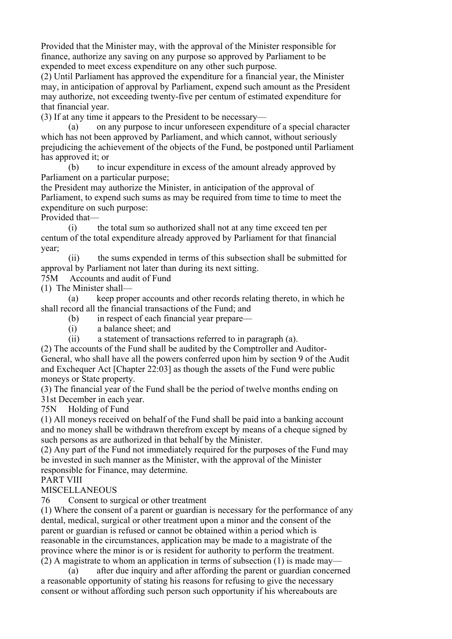Provided that the Minister may, with the approval of the Minister responsible for finance, authorize any saving on any purpose so approved by Parliament to be expended to meet excess expenditure on any other such purpose.

(2) Until Parliament has approved the expenditure for a financial year, the Minister may, in anticipation of approval by Parliament, expend such amount as the President may authorize, not exceeding twenty-five per centum of estimated expenditure for that financial year.

(3) If at any time it appears to the President to be necessary—

 (a) on any purpose to incur unforeseen expenditure of a special character which has not been approved by Parliament, and which cannot, without seriously prejudicing the achievement of the objects of the Fund, be postponed until Parliament has approved it; or

 (b) to incur expenditure in excess of the amount already approved by Parliament on a particular purpose;

the President may authorize the Minister, in anticipation of the approval of Parliament, to expend such sums as may be required from time to time to meet the expenditure on such purpose:

Provided that—

 (i) the total sum so authorized shall not at any time exceed ten per centum of the total expenditure already approved by Parliament for that financial year;

 (ii) the sums expended in terms of this subsection shall be submitted for approval by Parliament not later than during its next sitting.

75M Accounts and audit of Fund

(1) The Minister shall—

 (a) keep proper accounts and other records relating thereto, in which he shall record all the financial transactions of the Fund; and

(b) in respect of each financial year prepare—

(i) a balance sheet; and

(ii) a statement of transactions referred to in paragraph (a).

(2) The accounts of the Fund shall be audited by the Comptroller and Auditor-General, who shall have all the powers conferred upon him by section 9 of the Audit and Exchequer Act [Chapter 22:03] as though the assets of the Fund were public moneys or State property.

(3) The financial year of the Fund shall be the period of twelve months ending on 31st December in each year.

75N Holding of Fund

(1) All moneys received on behalf of the Fund shall be paid into a banking account and no money shall be withdrawn therefrom except by means of a cheque signed by such persons as are authorized in that behalf by the Minister.

(2) Any part of the Fund not immediately required for the purposes of the Fund may be invested in such manner as the Minister, with the approval of the Minister responsible for Finance, may determine.

## PART VIII

## MISCELLANEOUS

76 Consent to surgical or other treatment

(1) Where the consent of a parent or guardian is necessary for the performance of any dental, medical, surgical or other treatment upon a minor and the consent of the parent or guardian is refused or cannot be obtained within a period which is reasonable in the circumstances, application may be made to a magistrate of the province where the minor is or is resident for authority to perform the treatment. (2) A magistrate to whom an application in terms of subsection (1) is made may—

 (a) after due inquiry and after affording the parent or guardian concerned a reasonable opportunity of stating his reasons for refusing to give the necessary consent or without affording such person such opportunity if his whereabouts are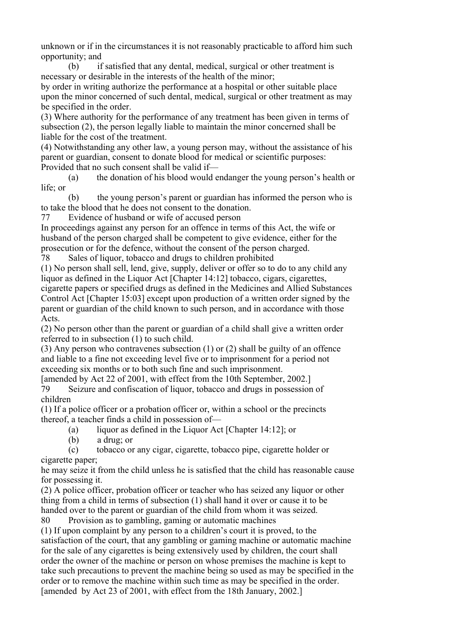unknown or if in the circumstances it is not reasonably practicable to afford him such opportunity; and

 (b) if satisfied that any dental, medical, surgical or other treatment is necessary or desirable in the interests of the health of the minor;

by order in writing authorize the performance at a hospital or other suitable place upon the minor concerned of such dental, medical, surgical or other treatment as may be specified in the order.

(3) Where authority for the performance of any treatment has been given in terms of subsection (2), the person legally liable to maintain the minor concerned shall be liable for the cost of the treatment.

(4) Notwithstanding any other law, a young person may, without the assistance of his parent or guardian, consent to donate blood for medical or scientific purposes: Provided that no such consent shall be valid if—

 (a) the donation of his blood would endanger the young person's health or life; or

 (b) the young person's parent or guardian has informed the person who is to take the blood that he does not consent to the donation.

77 Evidence of husband or wife of accused person

In proceedings against any person for an offence in terms of this Act, the wife or husband of the person charged shall be competent to give evidence, either for the prosecution or for the defence, without the consent of the person charged.

78 Sales of liquor, tobacco and drugs to children prohibited

(1) No person shall sell, lend, give, supply, deliver or offer so to do to any child any liquor as defined in the Liquor Act [Chapter 14:12] tobacco, cigars, cigarettes,

cigarette papers or specified drugs as defined in the Medicines and Allied Substances Control Act [Chapter 15:03] except upon production of a written order signed by the parent or guardian of the child known to such person, and in accordance with those Acts.

(2) No person other than the parent or guardian of a child shall give a written order referred to in subsection (1) to such child.

(3) Any person who contravenes subsection (1) or (2) shall be guilty of an offence and liable to a fine not exceeding level five or to imprisonment for a period not exceeding six months or to both such fine and such imprisonment.

[amended by Act 22 of 2001, with effect from the 10th September, 2002.] 79 Seizure and confiscation of liquor, tobacco and drugs in possession of children

(1) If a police officer or a probation officer or, within a school or the precincts thereof, a teacher finds a child in possession of—

(a) liquor as defined in the Liquor Act [Chapter 14:12]; or

(b) a drug; or

 (c) tobacco or any cigar, cigarette, tobacco pipe, cigarette holder or cigarette paper;

he may seize it from the child unless he is satisfied that the child has reasonable cause for possessing it.

(2) A police officer, probation officer or teacher who has seized any liquor or other thing from a child in terms of subsection (1) shall hand it over or cause it to be handed over to the parent or guardian of the child from whom it was seized.

80 Provision as to gambling, gaming or automatic machines

(1) If upon complaint by any person to a children's court it is proved, to the satisfaction of the court, that any gambling or gaming machine or automatic machine for the sale of any cigarettes is being extensively used by children, the court shall order the owner of the machine or person on whose premises the machine is kept to take such precautions to prevent the machine being so used as may be specified in the order or to remove the machine within such time as may be specified in the order. [amended by Act 23 of 2001, with effect from the 18th January, 2002.]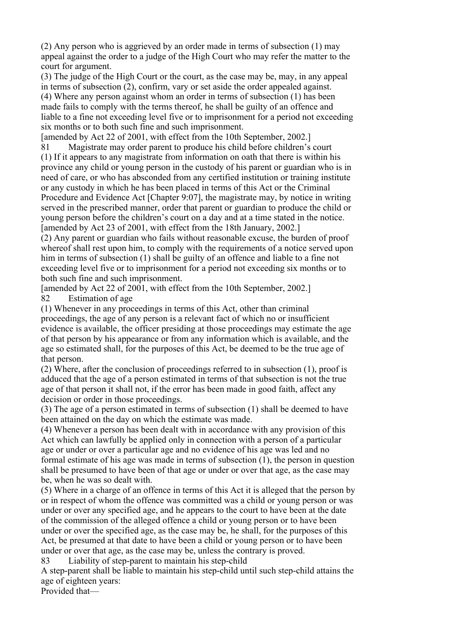(2) Any person who is aggrieved by an order made in terms of subsection (1) may appeal against the order to a judge of the High Court who may refer the matter to the court for argument.

(3) The judge of the High Court or the court, as the case may be, may, in any appeal in terms of subsection (2), confirm, vary or set aside the order appealed against. (4) Where any person against whom an order in terms of subsection (1) has been made fails to comply with the terms thereof, he shall be guilty of an offence and liable to a fine not exceeding level five or to imprisonment for a period not exceeding six months or to both such fine and such imprisonment.

[amended by Act 22 of 2001, with effect from the 10th September, 2002.]

81 Magistrate may order parent to produce his child before children's court (1) If it appears to any magistrate from information on oath that there is within his province any child or young person in the custody of his parent or guardian who is in need of care, or who has absconded from any certified institution or training institute or any custody in which he has been placed in terms of this Act or the Criminal Procedure and Evidence Act [Chapter 9:07], the magistrate may, by notice in writing served in the prescribed manner, order that parent or guardian to produce the child or young person before the children's court on a day and at a time stated in the notice. [amended by Act 23 of 2001, with effect from the 18th January, 2002.]

(2) Any parent or guardian who fails without reasonable excuse, the burden of proof whereof shall rest upon him, to comply with the requirements of a notice served upon him in terms of subsection (1) shall be guilty of an offence and liable to a fine not exceeding level five or to imprisonment for a period not exceeding six months or to both such fine and such imprisonment.

[amended by Act 22 of 2001, with effect from the 10th September, 2002.]

82 Estimation of age

(1) Whenever in any proceedings in terms of this Act, other than criminal proceedings, the age of any person is a relevant fact of which no or insufficient evidence is available, the officer presiding at those proceedings may estimate the age of that person by his appearance or from any information which is available, and the age so estimated shall, for the purposes of this Act, be deemed to be the true age of that person.

(2) Where, after the conclusion of proceedings referred to in subsection (1), proof is adduced that the age of a person estimated in terms of that subsection is not the true age of that person it shall not, if the error has been made in good faith, affect any decision or order in those proceedings.

(3) The age of a person estimated in terms of subsection (1) shall be deemed to have been attained on the day on which the estimate was made.

(4) Whenever a person has been dealt with in accordance with any provision of this Act which can lawfully be applied only in connection with a person of a particular age or under or over a particular age and no evidence of his age was led and no formal estimate of his age was made in terms of subsection (1), the person in question shall be presumed to have been of that age or under or over that age, as the case may be, when he was so dealt with.

(5) Where in a charge of an offence in terms of this Act it is alleged that the person by or in respect of whom the offence was committed was a child or young person or was under or over any specified age, and he appears to the court to have been at the date of the commission of the alleged offence a child or young person or to have been under or over the specified age, as the case may be, he shall, for the purposes of this Act, be presumed at that date to have been a child or young person or to have been under or over that age, as the case may be, unless the contrary is proved.

83 Liability of step-parent to maintain his step-child

A step-parent shall be liable to maintain his step-child until such step-child attains the age of eighteen years:

Provided that—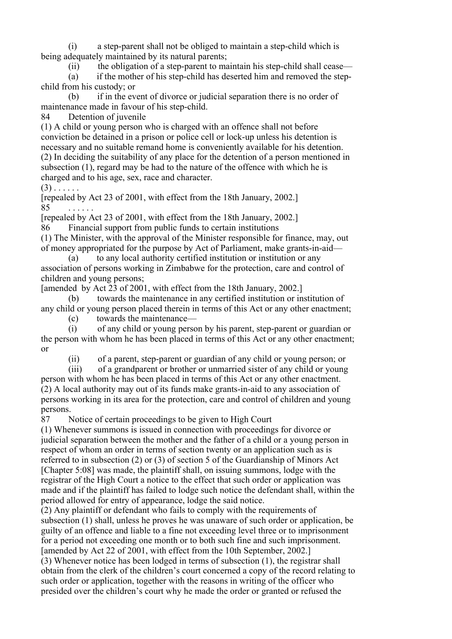(i) a step-parent shall not be obliged to maintain a step-child which is being adequately maintained by its natural parents;

(ii) the obligation of a step-parent to maintain his step-child shall cease—

 (a) if the mother of his step-child has deserted him and removed the stepchild from his custody; or

 (b) if in the event of divorce or judicial separation there is no order of maintenance made in favour of his step-child.

84 Detention of juvenile

(1) A child or young person who is charged with an offence shall not before conviction be detained in a prison or police cell or lock-up unless his detention is necessary and no suitable remand home is conveniently available for his detention. (2) In deciding the suitability of any place for the detention of a person mentioned in subsection (1), regard may be had to the nature of the offence with which he is charged and to his age, sex, race and character.

 $(3)$  . . . . . .

[repealed by Act 23 of 2001, with effect from the 18th January, 2002.] 85

[repealed by Act 23 of 2001, with effect from the 18th January, 2002.]

86 Financial support from public funds to certain institutions

(1) The Minister, with the approval of the Minister responsible for finance, may, out of money appropriated for the purpose by Act of Parliament, make grants-in-aid—

 (a) to any local authority certified institution or institution or any association of persons working in Zimbabwe for the protection, care and control of children and young persons;

[amended by Act 23 of 2001, with effect from the 18th January, 2002.]

 (b) towards the maintenance in any certified institution or institution of any child or young person placed therein in terms of this Act or any other enactment;

(c) towards the maintenance—

 (i) of any child or young person by his parent, step-parent or guardian or the person with whom he has been placed in terms of this Act or any other enactment; or

(ii) of a parent, step-parent or guardian of any child or young person; or

 (iii) of a grandparent or brother or unmarried sister of any child or young person with whom he has been placed in terms of this Act or any other enactment. (2) A local authority may out of its funds make grants-in-aid to any association of persons working in its area for the protection, care and control of children and young persons.

87 Notice of certain proceedings to be given to High Court

(1) Whenever summons is issued in connection with proceedings for divorce or judicial separation between the mother and the father of a child or a young person in respect of whom an order in terms of section twenty or an application such as is referred to in subsection (2) or (3) of section 5 of the Guardianship of Minors Act [Chapter 5:08] was made, the plaintiff shall, on issuing summons, lodge with the registrar of the High Court a notice to the effect that such order or application was made and if the plaintiff has failed to lodge such notice the defendant shall, within the period allowed for entry of appearance, lodge the said notice.

(2) Any plaintiff or defendant who fails to comply with the requirements of subsection (1) shall, unless he proves he was unaware of such order or application, be guilty of an offence and liable to a fine not exceeding level three or to imprisonment for a period not exceeding one month or to both such fine and such imprisonment. [amended by Act 22 of 2001, with effect from the 10th September, 2002.]

(3) Whenever notice has been lodged in terms of subsection (1), the registrar shall obtain from the clerk of the children's court concerned a copy of the record relating to such order or application, together with the reasons in writing of the officer who presided over the children's court why he made the order or granted or refused the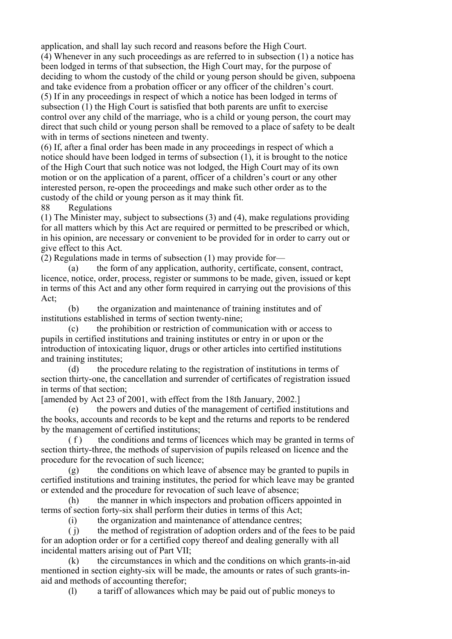application, and shall lay such record and reasons before the High Court. (4) Whenever in any such proceedings as are referred to in subsection (1) a notice has been lodged in terms of that subsection, the High Court may, for the purpose of deciding to whom the custody of the child or young person should be given, subpoena and take evidence from a probation officer or any officer of the children's court. (5) If in any proceedings in respect of which a notice has been lodged in terms of subsection (1) the High Court is satisfied that both parents are unfit to exercise control over any child of the marriage, who is a child or young person, the court may direct that such child or young person shall be removed to a place of safety to be dealt with in terms of sections nineteen and twenty.

(6) If, after a final order has been made in any proceedings in respect of which a notice should have been lodged in terms of subsection (1), it is brought to the notice of the High Court that such notice was not lodged, the High Court may of its own motion or on the application of a parent, officer of a children's court or any other interested person, re-open the proceedings and make such other order as to the custody of the child or young person as it may think fit.

88 Regulations

(1) The Minister may, subject to subsections (3) and (4), make regulations providing for all matters which by this Act are required or permitted to be prescribed or which, in his opinion, are necessary or convenient to be provided for in order to carry out or give effect to this Act.

(2) Regulations made in terms of subsection (1) may provide for—

 (a) the form of any application, authority, certificate, consent, contract, licence, notice, order, process, register or summons to be made, given, issued or kept in terms of this Act and any other form required in carrying out the provisions of this Act;

 (b) the organization and maintenance of training institutes and of institutions established in terms of section twenty-nine;

 (c) the prohibition or restriction of communication with or access to pupils in certified institutions and training institutes or entry in or upon or the introduction of intoxicating liquor, drugs or other articles into certified institutions and training institutes;

 (d) the procedure relating to the registration of institutions in terms of section thirty-one, the cancellation and surrender of certificates of registration issued in terms of that section;

[amended by Act 23 of 2001, with effect from the 18th January, 2002.]

 (e) the powers and duties of the management of certified institutions and the books, accounts and records to be kept and the returns and reports to be rendered by the management of certified institutions;

(f) the conditions and terms of licences which may be granted in terms of section thirty-three, the methods of supervision of pupils released on licence and the procedure for the revocation of such licence;

 (g) the conditions on which leave of absence may be granted to pupils in certified institutions and training institutes, the period for which leave may be granted or extended and the procedure for revocation of such leave of absence;

 (h) the manner in which inspectors and probation officers appointed in terms of section forty-six shall perform their duties in terms of this Act;

(i) the organization and maintenance of attendance centres;

 ( j) the method of registration of adoption orders and of the fees to be paid for an adoption order or for a certified copy thereof and dealing generally with all incidental matters arising out of Part VII;

 (k) the circumstances in which and the conditions on which grants-in-aid mentioned in section eighty-six will be made, the amounts or rates of such grants-inaid and methods of accounting therefor;

(l) a tariff of allowances which may be paid out of public moneys to